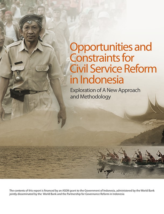# Opportunities and<br>Constraints for **Civil Service Reform** in Indonesia

**Exploration of A New Approach** and Methodology

The contents of this report is financed by an ASEM grant to the Government of Indonesia, administered by the World Bank jointly disseminated by the World Bank and the Partnership for Governance Reform in Indonesia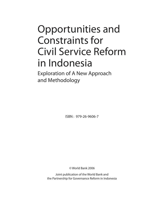## Opportunities and Constraints for Civil Service Reform in Indonesia

Exploration of A New Approach and Methodology

ISBN : 979-26-9606-7

© World Bank 2006

Joint publication of the World Bank and the Partnership for Governance Reform in Indonesia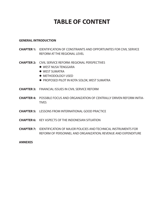## **TABLE OF CONTENT**

#### **GENERAL INTRODUCTION**

- **CHAPTER 1:** IDENTIFICATION OF CONSTRAINTS AND OPPORTUNITES FOR CIVIL SERVICE REFORM AT THE REGIONAL LEVEL
- **CHAPTER 2:** CIVIL SERVICE REFORM: REGIONAL PERSPECTIVES
	- $\bullet$  WEST NUSA TENGGARA
	- $\bullet$  WEST SUMATRA
	- **METHODOLOGY USED**
	- **PROPOSED PILOT IN KOTA SOLOK, WEST SUMATRA**
- **CHAPTER 3:** FINANCIAL ISSUES IN CIVIL SERVICE REFORM
- **CHAPTER 4:** POSSIBLE FOCUS AND ORGANIZATION OF CENTRALLY DRIVEN REFORM INITIA-**TIVES**
- **CHAPTER 5:** LESSONS FROM INTERNATIONAL GOOD PRACTICE
- **CHAPTER 6:** KEY ASPECTS OF THE INDONESIAN SITUATION
- **CHAPTER 7:** IDENTIFICATION OF MAJOR POLICIES AND TECHNICAL INSTRUMENTS FOR REFORM OF PERSONNEL AND ORGANIZATION; REVENUE AND EXPENDITURE

#### **ANNEXES**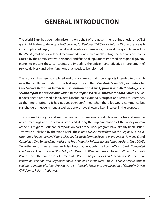## **GENERAL INTRODUCTION**

The World Bank has been administering on behalf of the government of Indonesia, an ASEM grant which aims to develop a Methodology for Regional Civil Service Reform. Within the prevailing complicated legal, institutional and regulatory framework, the work program financed by the ASEM grant has developed recommendations aimed at alleviating the serious constraints caused by the administrative, personnel and financial regulations imposed on regional governments. At present these constraints are impeding the efficient and effective improvement of service delivery and other functions that needs to be reformed.

The program has been completed and this volume contains two reports intended to disseminate the results and findings. The first report is entitled: **Constraints and Opportunities for Civil Service Reform in Indonesia: Exploration of a New Approach and Methodology. The second report is entitled: Innovation in the Regions: a New Initiative for Kota Solok**. The latter describes a proposed pilot in detail, including its rationale, purpose and Terms of Reference. At the time of printing it had not yet been confirmed when the pilot would commence but stakeholders in government as well as donors have shown a keen interest in the proposal.

This volume highlights and summarizes various previous reports, briefing notes and summaries of meetings and workshops produced during the implementation of the work program of the ASEM grant. Four earlier reports on part of the work program have already been issued. Two were published by the World Bank: these are Civil Service Reforms at the Regional Level: Institutional, Regulatory and Financial Issues facing Reforming Regions in Indonesia (July 2005) and Completed Civil Service Diagnostics and Road Maps for Reform in Nusa Tenggara Barat (July 2005). Two other reports were issued and distributed but not published by the World Bank: Completed Civil Service Diagnostics and Road Maps for Reform in West Sumatra (October 2005) and Synthesis Report. The latter comprises of three parts: Part 1 – Major Policies and Technical Instruments for Reform of Personnel and Organization; Revenue and Expenditure; Part 2 – Civil Service Reform in Regions' Contents of a Pilot Project;, Part 3 – Possible Focus and Organization of Centrally Driven Civil Service Reform Initiatives.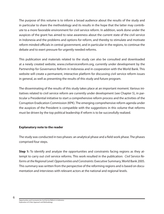The purpose of this volume is to inform a broad audience about the results of the study and in particular to share the methodology and its results in the hope that the latter may contribute to a more favorable environment for civil service reform. In addition, work done under the auspices of the grant has aimed to raise awareness about the current state of the civil service in Indonesia and the problems and options for reform, and thereby to stimulate and motivate reform minded officials in central government, and in particular in the regions, to continue the debate and to exert pressure for urgently needed reforms.

This publication and materials related to the study can also be consulted and downloaded at a newly created website, www.civilservicereform.org, currently under development by the Partnership for Governance Reform in Indonesia and in cooperation with the World Bank. This website will create a permanent, interactive platform for discussing civil service reform issues in general, as well as presenting the results of this study and future program.

The disseminating of the results of this study takes place at an important moment. Various initiatives related to civil service reform are currently under development (see Chapter 5), in particular a Presidential initiative to start a comprehensive reform process and the activities of the Corruption Eradication Commission (KPK). The emerging comprehensive reform agenda under the auspices of the President is compatible with the suggestions in this volume that reforms must be driven by the top political leadership if reform is to be successfully realized.

#### **Explanatory note to the reader**

The study was conducted in two phases: an analytical phase and a field work phase. The phases comprised four steps.

**Step 1:** To identify and analyze the opportunities and constraints facing regions as they attempt to carry out civil service reforms. This work resulted in the publication: Civil Service Reforms at the Regional Level: Opportunities and Constraints: Executive Summary, World Bank 2005. This summary was written from the perspective of the reforming regions and is based on documentation and interviews with relevant actors at the national and regional levels.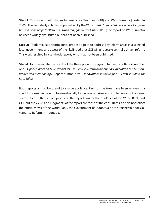**Step 2:** To conduct field studies in West Nusa Tenggara (NTB) and West Sumatra (carried in 2005). The field study in NTB was published by the World Bank: Completed Civil Service Diagnostics and Road Maps for Reform in Nusa Tenggara Barat (July 2005). (The report on West-Sumatra has been widely distributed but has not been published.)

**Step 3:** To identify key reform areas, propose a pilot to address key reform areas in a selected local government; and assess of the likelihood that GOI will undertake centrally driven reform. This work resulted in a synthesis report, which has not been published.

**Step 4:** To disseminate the results of the three previous stages in two reports: Report number one – Opportunities and Constraints for Civil Service Reform in Indonesia: Exploration of a New Approach and Methodology. Report number two – Innovations in the Regions: A New Initiative for Kota Solok.

Both reports aim to be useful to a wide audience. Parts of the texts have been written in a checklist format in order to be user-friendly for decision-makers and implementers of reforms. Teams of consultants have produced the reports under the guidance of the World Bank and GOI, but the views and judgments of the report are those of the consultants, and do not reflect the official views of the World Bank, the Government of Indonesia or the Partnership for Governance Reform in Indonesia.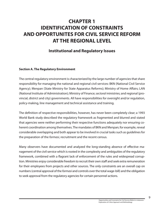## **CHAPTER 1 IDENTIFICATION OF CONSTRAINTS AND OPPORTUNITES FOR CIVIL SERVICE REFORM AT THE REGIONAL LEVEL**

#### **Institutional and Regulatory Issues**

#### **Section A. The Regulatory Environment**

The central regulatory environment is characterized by the large number of agencies that share responsibility for managing the national and regional civil services: BKN (National Civil Service Agency); Menpan (State Ministry for State Apparatus Reforms); Ministry of Home Affairs; LAN (National Institute of Administration); Ministry of Finance; sectoral ministries; and regional (provincial, district and city) governments. All have responsibilities for oversight and/or regulation, policy-making, line management and technical assistance and training.

The definition of respective responsibilities, however, has never been completely clear; a 1993 World Bank study described the regulatory framework as fragmented and blurred and stated that agencies were neither performing their respective functions adequately nor ensuring coherent coordination among themselves. The mandates of BKN and Menpan; for example, reveal considerable overlapping and both appear to be involved in crucial tasks such as guidelines for the preparation of the formasi, recruitment and the recent census.

Many observers have documented and analyzed the long-standing absence of effective management of the civil service which is rooted in the complexity and ambiguities of the regulatory framework, combined with a flagrant lack of enforcement of the rules and widespread corruption. Ministries enjoy considerable freedom to recruit their own staff and seek extra remuneration for their employees from projects and other sources. The only constraints are an overall cap on numbers (central approval of the *formasi* and controls over the total wage-bill) and the obligation to seek approval from the regulatory agencies for certain personnel actions.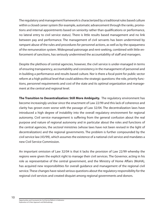The regulatory and management framework is characterized by a traditional rules based culture within a closed career system (for example, automatic advancement through the ranks, promotions and internal appointments based on seniority rather than qualifications or performance, no lateral entry to civil service status). There is little results based management and no link between pay and performance. The management of civil servants has been undermined by rampant abuse of the rules and procedures for personnel actions, as well as by the opaqueness of the remuneration system. Widespread patronage and rent-seeking, combined with little enforcement of sanctions, has seriously undermined the accountability of staff and managers.

Despite the plethora of central agencies, however, the civil service is under-managed in terms of ensuring transparency, accountability and consistency in the management of personnel and in building a performance and results based culture. Nor is there a focal point for public sector reform at a high political level that could address the strategic questions: the role, priority functions, personnel requirements and cost of the state and its optimal organization and management at the central and regional level.

**The Transition to Decentralization: Still More Ambiguity.** The regulatory environment has become increasingly unclear since the enactment of Law 22/99 and this lack of coherence and clarity has grown even worse with the passage of Law 32/04. The decentralization laws have introduced a high degree of instability into the overall regulatory environment for regional autonomy. Civil service management is suffering from the general confusion about the real purpose and nature of regional autonomy and in particular about the roles and functions of the central agencies, the sectoral ministries (whose laws have not been revised in the light of decentralization) and the regional governments. The problem is further compounded by the civil service law (43/99), which assumes the existence of a national civil service and mandates a new Civil Service Commission.

An important omission of Law 32/04 is that it lacks the provision of Law 22/99 whereby the regions were given the explicit right to manage their civil services. The Governor, acting in his role as representative of the central government, and the Ministry of Home Affairs (MoHA), has acquired new responsibilities for overall guidance and management of the regional civil service. These changes have raised serious questions about the regulatory responsibility for the regional civil services and created disquiet among regional governments and donors.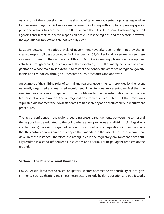As a result of these developments, the sharing of tasks among central agencies responsible for overseeing regional civil service management, including authority for approving specific personnel actions, has evolved. This shift has altered the rules of the game both among central agencies and in their respective responsibilities vis-à-vis the regions, and the sectors, however, the operational implications are not yet fully clear.

Relations between the various levels of government have also been undermined by the increased responsibilities accorded to MoHA under Law 32/04. Regional governments see these as a serious threat to their autonomy. Although MoHA is increasingly taking on development activities through capacity building and other initiatives, it is still primarily perceived as an organization whose main raison d'être is to restrict and control the activities of regional governments and civil society through burdensome rules, procedures and approvals.

An example of the shifting roles of central and regional governments is provided by the recent nationally organized and managed recruitment drive. Regional representatives feel that the exercise was a serious infringement of their rights under the decentralization law and a blatant case of recentralization. Certain regional governments have stated that the procedures stipulated did not meet their own standards of transparency and accountability in recruitment procedures.

The lack of confidence in the regions regarding present arrangements between the center and the regions has deteriorated to the point where a few provinces and districts (cf., Yogyakarta and Jembrana) have simply ignored certain provisions of laws or regulations; in turn it appears that the central agencies have overstepped their mandate in the case of the recent recruitment drive. In these instances, therefore, the ambiguities in the regulatory environment have actually resulted in a stand-off between jurisdictions and a serious principal-agent problem on the ground.

#### **Section B. The Role of Sectoral Ministries**

Law 22/99 stipulated that so called "obligatory" sectors become the responsibility of local governments, such as, districts and cities; these sectors include health, education and public works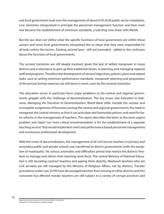and local government took over the management of about 67% of all public sector employees. Line ministries relinquished in principle the personnel management function and their main role became the establishment of minimum standards, a task they now share with MoHA.

But the law does not define what the specific functions of local government are within these sectors and some local governments interpreted this to mean that they were responsible for all tasks within the sectors. Existing *sectoral* laws --still not amended-- added to the confusion about the functions of local governments.

The sectoral ministries are still deeply involved, given the lack of skilled manpower in many districts and a reluctance to give up their traditional duties, in planning and managing regional staff and programs. Therefore the development of sectoral objectives, policies, plans and related tasks, such as setting minimum performance standards, manpower planning and preparation of the annual formasi exercise, are still done in most cases by the sectoral ministries.

The education sector in particular faces major problems as the central and regional governments grapple with the challenge of decentralization. The key issues (see Education in Indonesia, Managing the Transition to Decentralization, World Bank 2004. include the unclear and incomplete assignment of functions among the central and regional governments; the need to reorganize the central ministry so that it can articulate and harmonize polices; and need for basic reforms in the management of teachers. This report describes the latter as the most urgent problem and states "our most critical recommendation is for the establishment of a separate teaching service" that would implement merit and performance based personnel management and continuous professional development.

With the onset of decentralization, the management of all civil service teachers in primary and secondary public and private schools was transferred to district governments (with the exception of madrasahs). Yet various anomalies and difficulties persist that restrict the districts' freedom to manage and reform their teaching work-force. The central Ministry of National Education is still recruiting contract teachers and paying them directly; Madrasah teachers who are civil servants are still managed by the Ministry of Religious Affairs, not by districts. Transfer procedures under Law 22/99 have discouraged teachers from moving to other districts and this constraint has affected morale; teachers are still subject to a variety of corrupt practices and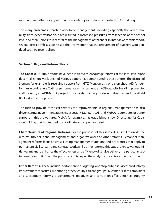routinely pay bribes for appointments, transfers, promotions, and selection for training.

The many problems in teacher work-force management, including especially the lack of mobility since decentralization, have resulted in increased pressures from teachers at the school level and their unions to recentralize the management of teachers. In interviews for this report, several district officials expressed their conviction that the recruitment of teachers would indeed soon be recentralized.

#### **Section C. Regional Reform Efforts**

**The Context.** Multiple efforts have been initiated to encourage reforms at the local level since decentralization was launched. Various donors have contributed to these efforts. The district of Sleman; for example, is receiving support from GTZ/Menpan as a one stop shop; AID for performance budgeting; CLGI for performance enhancement; an ADB capacity building project for staff training; an ADB/MoHA project for capacity building for decentralization; and the World Bank urban sector project.

The rush to provide technical services for improvements in regional management has also driven central government agencies, especially Menpan, LAN and MoHA, to compete for donor support in this growth area. MoHA, for example, has established a new Directorate for Capacity-Building that is intended to coordinate and supervise training.

**Characteristics of Regional Reforms.** For the purposes of this study, it is useful to divide the reforms into personnel management and organizational and other reforms. Personnel management reforms focus on cross-cutting management functions and procedures that apply to permanent civil servants and contract workers. By other reforms, this study refers to various initiatives meant to enhance the effectiveness and efficiency of service delivery in a particular sector, service or unit. Given the purpose of this paper, the analysis concentrates on the former.

**Other Reforms.** These include: performance budgeting; one stop public services; productivity improvement measures; monitoring of services by citizens' groups; systems of client complaints and subsequent reforms; e-government initiatives; anti-corruption efforts such as integrity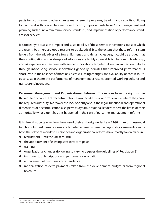pacts for procurement; other change management programs; training and capacity-building for technical skills related to a sector or function; improvements to sectoral management and planning such as new minimum service standards; and implementation of performance standards for services.

It is too early to assess the impact and sustainability of these service innovations, most of which are recent, but there are good reasons to be skeptical: i) to the extent that these reforms stem largely from the initiatives of a few enlightened and dynamic leaders, it could be argued that their continuation and wide-spread adoptions are highly vulnerable to changes in leadership; and ii) experience elsewhere with similar innovations targeted at enhancing accountability through introducing service innovations generally indicates that improved performance is short lived in the absence of more basic, cross-cutting changes, the availability of core resources to sustain them; the performance of management; a results oriented working culture; and transparent incentives.

**Personnel Management and Organizational Reforms.** The regions have the right, within the regulatory context of decentralization, to undertake basic reforms in areas where they have the required authority. Moreover the lack of clarity about the legal, functional and operational dimensions of decentralization also permits dynamic regional leaders to test the limits of their authority. To what extent has this happened in the case of personnel management reforms?

It is clear that certain regions have used their authority under Law 22/99 to reform essential functions. In most cases reforms are targeted at areas where the regional governments clearly have the relevant mandate. Personnel and organizational reforms have mostly taken place in:

- $\bullet$  recruitment (until the latest round)
- the appointment of existing staff to vacant posts
- $\bullet$  training
- organizational changes (following to varying degrees the guidelines of Regulation 8)
- improved job descriptions and performance evaluation
- enforcement of discipline and attendance
- rationalization of extra payments taken from the development budget or from regional revenues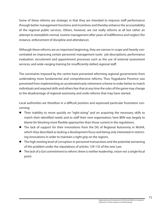Some of these reforms are strategic in that they are intended to improve staff performance through better management functions and incentives and thereby enhance the accountability of the regional public services. Others, however, are not really reforms at all but rather an attempt to reestablish normal, routine management after years of indifference and neglect (for instance, enforcement of discipline and attendance).

Although these reforms are an important beginning, they are narrow in scope and heavily concentrated on improving certain personnel management tools: job descriptions; performance evaluation; recruitment and appointment processes such as the use of external assessment services; and wide-ranging training for insufficiently skilled regional staff.

The constraints imposed by the centre have prevented reforming regional governments from undertaking more fundamental and comprehensive reforms. Thus Yogyakarta Province was prevented from implementing an accelerated early retirement scheme in order better to match individuals and required skills and others fear that at any time the rules of the game may change to the disadvantage of regional autonomy and undo reforms that may have started.

Local authorities are therefore in a difficult position and expressed particular frustration concerning:

- Their inability to move quickly on "right-sizing" and on acquiring the necessary skills to match their identified needs and to staff their new organization; here BKN was largely to blame for blocking more flexible approaches than those current in the regulations.
- The lack of support for their innovations from the DG of Regional Autonomy in MoHA, which they described as lacking a development focus and being only interested in restricting innovations in order to maintain a tight grip on the regions.
- The high existing level of corruption in personnel transactions and the potential worsening of this problem under the stipulations of articles 129-135 of the new Law.
- The lack of a GoI commitment to reform; there is neither leadership, vision nor a single focal point.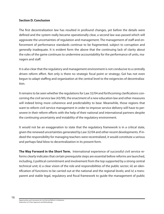#### **Section D. Conclusion**

The first decentralization law has resulted in profound changes, yet before the details were defined and the system really became operationally clear, a second law was passed which will aggravate the uncertainties of regulation and management. The management of staff and enforcement of performance standards continue to be fragmented, subject to corruption and generally inadequate. It is evident form the above that the continuing lack of clarity about the rules of the game continues to undermine accountability for the performance of units, managers and staff.

It is also clear that the regulatory and management environment is not conducive to a centrally driven reform effort. Not only is there no strategic focal point or strategy; GoI has not even begun to adapt staffing and organization at the central level to the exigencies of decentralization.

It remains to be seen whether the regulations for Law 32/04 and forthcoming clarifications concerning the civil service law (43/99), the enactment of a new education law and other measures will indeed bring more coherence and predictability to bear. Meanwhile, those regions that want to reform civil service management in order to improve service delivery will have to persevere in their reform efforts with the help of their national and international partners despite the continuing uncertainty and instability of the regulatory environment.

It would not be an exaggeration to state that the regulatory framework is in a critical state, given the renewed uncertainties generated by Law 32/04 and other recent developments. If indeed the responsibility for managing teachers were recentralized, it would constitute a serious and perhaps fatal blow to decentralization in its present form.

**The Way Forward in the Short Term.** International experience of successful civil service reforms clearly indicates that certain prerequisite steps are essential before reforms are launched, including, i) political commitment and involvement from the top supported by a strong central technical unit; ii) a clear vision of the role and responsibilities of the public sector; iii) an identification of functions to be carried out at the national and the regional levels; and iv) a transparent and stable legal, regulatory and fiscal framework to guide the management of public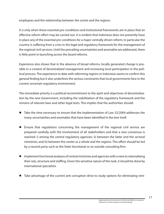employees and the relationship between the centre and the regions.

It is only when these essential pre-conditions and institutional frameworks are in place that an effective reform effort may be carried out. It is evident that Indonesia does not presently have in place any of the essential pre-conditions for a major centrally driven reform; in particular the country is suffering from a crisis in the legal and regulatory framework for the management of the regional civil services. Until the prevailing uncertainties and anomalies are addressed, there is little point in launching across the board reforms.

Experience also shows that in the absence of broad reforms, locally generated change is possible in a context of decentralized management and increasing local participation in the political process. The experience to date with reforming regions in Indonesia seems to confirm this general finding but it also underlines the serious constraints that local governments face in the current uncertain regulatory environment.

The immediate priority is a political recommitment to the spirit and objectives of decentralization by the new Government, including the stabilization of the regulatory framework and the revision of relevant laws and other legal texts. This implies that the authorities should:

- Take the time necessary to ensure that the implementation of Law 32/2004 addresses the many uncertainties and anomalies that have been identified in the text itself.
- Ensure that regulations concerning the management of the regional civil service are prepared carefully with the involvement of all stakeholders and that a new consensus is reached: i) among the central regulatory agencies; ii) between the latter and the sectoral ministries; and iii) between the center as a whole and the regions. This effort should be led by a neutral party such as the State Secretariat or an outside consulting firm.
- Implement functional analyses of central ministries and agencies with a view to rationalizing their size, structure and staffing. Given the sensitive nature of this task, it should be done by international specialists.
- Take advantage of the current anti corruption drive to study options for eliminating rent-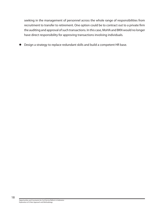seeking in the management of personnel across the whole range of responsibilities from recruitment to transfer to retirement. One option could be to contract out to a private firm the auditing and approval of such transactions. In this case, MoHA and BKN would no longer have direct responsibility for approving transactions involving individuals.

Design a strategy to replace redundant skills and build a competent HR base.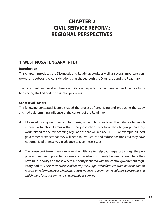### **CHAPTER 2 CIVIL SERVICE REFORM: REGIONAL PERSPECTIVES**

#### **1. WEST NUSA TENGARA (NTB)**

#### **Introduction**

This chapter introduces the Diagnostic and Roadmap study, as well as several important contextual and substantive considerations that shaped both the Diagnostic and the Roadmap.

The consultant team worked closely with its counterparts in order to understand the core functions being studied and the essential problems.

#### **Contextual Factors**

The following contextual factors shaped the process of organizing and producing the study and had a determining influence of the content of the Roadmap.

- Like most local governments in Indonesia, none in NTB has taken the initiative to launch reforms in functional areas within their jurisdictions. Nor have they begun preparatory work related to the forthcoming regulations that will replace PP 08. For example, all local governments expect that they will need to restructure and reduce positions but they have not organized themselves in advance to face these issues.
- The consultant team, therefore, took the initiative to help counterparts to grasp the purpose and nature of potential reforms and to distinguish clearly between areas where they have full authority and those where authority is shared with the central government regulatory bodies. These factors also explain why the Suggested Reform Program of the Roadmap focuses on reforms in areas where there are few central government regulatory constraints and which these local governments can potentially carry out.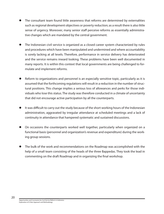- The consultant team found little awareness that reforms are determined by externalities such as regional development objectives or poverty reduction; as a result there is also little sense of urgency. Moreover, many senior staff perceive reforms as essentially administrative changes which are mandated by the central government.
- The Indonesian civil service is organized as a closed career system characterized by rules and procedures which have been manipulated and undermined and where accountability is sorely lacking at all levels. Therefore, performance in service delivery has deteriorated and the service remains inward looking. These problems have been well documented in many reports. It is within this context that local governments are being challenged to formulate and implement reforms.
- Reform to organizations and personnel is an especially sensitive topic, particularly as it is assumed that the forthcoming regulations will result in a reduction in the number of structural positions. This change implies a serious loss of allowances and perks for those individuals who lose this status. The study was therefore conducted in a climate of uncertainty that did not encourage active participation by all the counterparts.
- It was difficult to carry out the study because of the short working hours of the Indonesian administration, aggravated by irregular attendance at scheduled meetings and a lack of continuity in attendance that hampered systematic and sustained discussions.
- On occasions the counterparts worked well together, particularly when organized on a functional basis (personnel and organization's revenue and expenditure) during the working group sessions.
- The bulk of the work and recommendations on the Roadmap was accomplished with the help of a small team consisting of the heads of the three Bappedas. They took the lead in commenting on the draft Roadmap and in organizing the final workshop.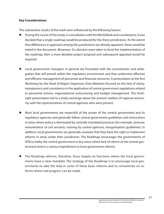#### **Key Considerations**

The substantive results of the work were influenced by the following factors:

- During the course of the study, in consultation with the World Bank and counterparts, it was decided that a single roadmap would be produced for the three jurisdictions. To the extent that differences in approach among the jurisdictions are already apparent, these would be noted in the document. Moreover, if a decision were taken to fund the implementation of the roadmap, then a more detailed project proposal and subsequent appraisal would be required.
- Local government managers in general are frustrated with the uncertainties and ambiguities that still prevail within the regulatory environment and that undermine effective and efficient management of personnel and financial resources. A presentation at the first Workshop by the Head of Bagian Organisasi, Kota Mataram focused on the lack of clarity, transparency and consistency in the application of central government regulations related to personnel actions, organizational restructuring and budget management. This forthright presentation led to a lively exchange about the present realities of regional autonomy with the representatives of central agencies who were present.
- Most local governments are respectful of the power of the central government and its regulatory agencies and generally follow central government guidelines and instructions in areas where policy is dominated by centrally mandated practices (for example, revenue; remuneration of civil servants, training by central agencies, reorganization guidelines). In addition, local governments are generally unaware that they have the right to implement reforms in areas under their jurisdiction. The Roadmap encourages the governments of NTB to lobby the central government in key areas where lack of reform at the central government level is a serious impediment to local government reforms.
- The Roadmap reforms, therefore, focus largely on functions where the local governments have a clear mandate. The strategy of the Roadmap is to encourage local governments to take the lead in some of these basic reforms and to concentrate on reforms where real progress can be made.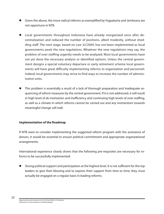- Given the above, the more radical reforms as exemplified by Yogyakarta and Jembrana are not opportune in NTB.
- Local governments throughout Indonesia have already reorganized once after decentralization and reduced the number of positions, albeit modestly, without shedding staff. The next stage, based on Law 32/2004, has not been implemented as local governments await the new regulations. Whatever the new regulations may say, the problem of over-staffing urgently needs to be analyzed. Most local governments have not yet done the necessary analysis or identified options. Unless the central government designs a special voluntary departure or early retirement scheme local governments will have great difficulty implementing reforms to organization and personnel. Indeed, local governments may strive to find ways to increase the number of administrative units.
- This problem is essentially a result of a lack of thorough preparation and inadequate sequencing of reform measures by the central government. If it is not addressed, it will result in high level of *de-motivation* and inefficiency and continuing high levels of over-staffing, as well as a climate in which reforms cannot be carried out and any momentum towards meaningful change will stall.

#### **Implementation of the Roadmap**

If NTB were to consider implementing the suggested reform program with the assistance of donors, it would be essential to ensure political commitment and appropriate organizational arrangements.

International experience clearly shows that the following pre-requisites are necessary for reforms to be successfully implemented:

 Strong political support and participation at the highest level. It is not sufficient for the top leaders to give their blessing and to express their support from time to time; they must actually be engaged on a regular basis in leading reforms.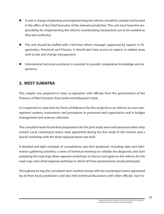- A unit in charge of planning and implementing the reforms should be created and located in the office of the Chief Executive of the relevant jurisdiction. This unit must have line responsibility for implementing the reforms (coordinating mechanisms are to be avoided as they lack authority).
- The unit should be staffed with a full-time reform manager supported by experts in Organization, Personnel and Finance. It should also have access to experts in related areas such as law and change management.
- International technical assistance is essential to provide comparative knowledge and experience.

#### **2. WEST SUMATRA**

This chapter was prepared in close co-operation with officials from the governments of the Province of West Sumatra, Kota Solok and Kabupaten Solok.

It is important to note that the Terms of Reference for this study focus on reforms to core management systems, instruments and procedures in personnel and organization and in budget management and revenue collection.

The consultant team found that preparations for the joint study were well advanced when they arrived. Local counterpart teams were appointed during the first week of the mission and a launch workshop with the three regional teams was held.

A detailed and tight schedule of consultations was then produced, including: data and information gathering activities; a series of technical meetings to validate the diagnostic and start preparing the road map; three separate workshops to discuss and agree on the reforms for the road map; and a final regional workshop in which all three governments would participate.

Throughout its stay the consultant team worked closely with the counterpart teams appointed by all three local jurisdictions and also held technical discussions with other officials. Each lo-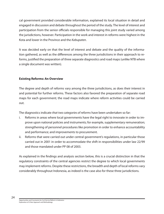cal government provided considerable information, explained its local situation in detail and engaged in discussion and debate throughout the period of the study. The level of interest and participation from the senior officials responsible for managing this joint study varied among the jurisdictions, however. Participation in the work and interest in reforms were highest in the Kota and lower in the Province and the Kabupaten.

It was decided early on that the level of interest and debate and the quality of the information gathered, as well as the differences among the three jurisdictions in their approach to reforms, justified the preparation of three separate diagnostics and road maps (unlike NTB where a single document was written).

#### **Existing Reforms: An Overview**

The degree and depth of reforms vary among the three jurisdictions, as does their interest in and potential for further reforms. These factors also favored the preparation of separate road maps for each government; the road maps indicate where reform activities could be carried out.

The diagnostics indicate that two categories of reforms have been undertaken so far:

- i. Reforms in areas where local governments have the legal right to innovate in order to improve upon national policies and instruments; for example, supplementary remuneration; strengthening of personnel procedures like promotion in order to enhance accountability and performance; and improvements to procurement.
- ii. Reforms that were carried out under central government's regulations, in particular those carried out in 2001 in order to accommodate the shift in responsibilities under law 22/99 and those mandated under PP 08 of 2003.

As explained in the findings and analysis section below, this is a crucial distinction in that the regulatory constraints of the central agencies restrict the degree to which local governments may implement reforms. Despite these restrictions, the breadth and depth of local reforms vary considerably throughout Indonesia, as indeed is the case also for these three jurisdictions.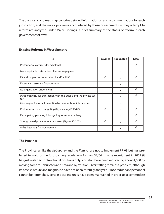The diagnostic and road map contains detailed information on and recommendations for each jurisdiction, and the major problems encountered by these governments as they attempt to reform are analyzed under Major Findings. A brief summary of the status of reform in each government follows:

| е                                                                            | <b>Province</b> | Kabupaten | <b>Kota</b> |
|------------------------------------------------------------------------------|-----------------|-----------|-------------|
| Performance contracts for echelon II                                         |                 |           |             |
| More equitable distribution of incentive payments                            |                 | V         |             |
| Fit and proper test for echelon II and/or III-IV                             | V               |           |             |
| External Assessment for promotion                                            |                 |           |             |
| Re-organization under PP 08                                                  |                 |           |             |
| Pakta Integritas for transaction with the public and the private sec-<br>tor |                 |           |             |
| Giro to giro: financial transaction by bank without interference             |                 |           |             |
| Performance-based budgeting (Kepmendagri 29/2002)                            | ٦I              |           |             |
| Participatory planning & budgeting for service delivery                      |                 |           |             |
| Strengthened procurement processes (Kepres 80/2003)                          | ٦I              |           |             |
| Pakta Integritas for procurement                                             |                 |           |             |

#### **Existing Reforms in West-Sumatra**

#### **The Province**

The Province, unlike the Kabupaten and the Kota, chose not to implement PP 08 but has preferred to wait for the forthcoming regulations for Law 32/04. It froze recruitment in 2001 (it has just restarted for functional positions only) and staff have been reduced by about 4,000 by moving some to Kabupaten and Kota and by attrition. Overstaffing remains a problem, although its precise nature and magnitude have not been carefully analyzed. Since redundant personnel cannot be retrenched, certain obsolete units have been maintained in order to accommodate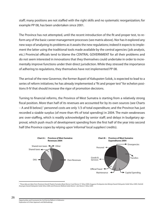staff; many positions are not staffed with the right skills and no systematic reorganization; for example PP 08, has been undertaken since 2001.

The Province has not attempted, until the recent introduction of the fit and proper test, to reform any of the basic career management processes (see matrix above). Nor has it explored any new ways of analyzing its problems as it awaits the new regulations; indeed it expects to implement the latter using the traditional tools made available by the central agencies (job analysis, etc.) Provincial officials tend to blame the CENTRAL GOVERNMENT for all their problems and do not seem interested in innovations that they themselves could undertake in order to incrementally improve functions under their direct jurisdiction. While they stressed the importance of adhering to regulations, they themselves have not implemented PP 08.

The arrival of the new Governor, the former Bupati of Kabupaten Solok, is expected to lead to a series of reform initiatives; he has already implemented a "fit and proper test" for echelon positions II-IV that should increase the rigor of promotion decisions.

Turning to financial reforms, the Province of West Sumatra is starting from a relatively strong fiscal position. More than half of its revenues are accounted for by its own sources (see Charts - A and B below);<sup>1</sup> personnel costs are only 1/3 of total expenditure; and the Province has just recorded a sizable surplus (of more than 4% of total spending) in 2004. The main weaknesses are: over-staffing, which is readily acknowledged by senior staff; and delays in budgetary approval, which push much of development spending from the first half of the year into second half (the Province copes by relying upon 'informal' local suppliers' credits).



<sup>&</sup>lt;sup>1</sup> These data are taken from Peraturan Daerah Propinsi Sumatera Barat Nomor 4 and Nomor 31 Tahun 2004; Anggaran Pendapatan dan Belanja Daerah Kabupaten Solok Tahun 2005; Statistik Keuangan Daerah Kabupaten Solok Tahun 2004; and Peraturan Walikota Solok Nomor 1 dan Nomor 5 Tahun 2005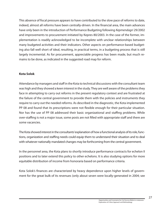This absence of fiscal pressure appears to have contributed to the slow pace of reforms to date, indeed, almost all reforms have been centrally-driven. In the financial area, the main advances have only been in the introduction of Performance Budgeting following Kepmendagri 29/2002 and improvements to procurement initiated by Kepres 80/2003. In the case of the former, implementation is readily acknowledged to be incomplete with unclear relationships between many budgeted activities and their indicators. Other aspects on performance-based budgeting also fall well short of ideal, resulting, in practical terms, in a budgeting process that is still largely incremental. As for procurement, appreciable progress has been made, but much remains to be done, as indicated in the suggested road map for reform.

#### **Kota Solok**

Attendance by managers and staff in the Kota to technical discussions with the consultant team was high and they showed a keen interest in the study. They are well aware of the problems they face in attempting to carry out reforms in the present regulatory context and are frustrated at the failure of the central government to provide them with the policies and instruments they require to carry out the needed reforms. As described in the diagnostic, the Kota implemented PP 08 and found that its prescriptions were not flexible enough for their particular situation. Nor has the use of PP 08 addressed their basic organizational and staffing problems. While over-staffing is not a major issue, some posts are not filled with appropriate staff and there are some vacancies.

The Kota showed interest in the consultants' explanation of how a functional analysis of its role, functions, organization and staffing needs could equip them to understand their situation and to deal with whatever nationally mandated changes may be forthcoming from the central government.

In the personnel area, the Kota plans to shortly introduce performance contracts for echelon II positions and to later extend this policy to other echelons. It is also studying options for more equitable distribution of income from honoraria based on performance criteria.

Kota Solok's finances are characterized by heavy dependence upon higher levels of government for the great bulk of its revenues (only about seven were locally-generated in 2004; see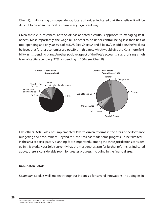Chart A). In discussing this dependence, local authorities indicated that they believe it will be difficult to broaden the local tax base in any significant way.

Given these circumstances, Kota Solok has adopted a cautious approach to managing its finances. Most importantly, the wage bill appears to be under control, being less than half of total spending and only 50-60% of its DAU (see Charts A and B below). In addition, the Walikota believes that further economies are possible in this area, which would give the Kota more flexibility in its spending plans. Another positive aspect of the Kota's accounts is a surprisingly high level of capital spending (27% of spending in 2004; see Chart B).



Like others, Kota Solok has implemented Jakarta-driven reforms in the areas of performance budgeting and procurement. Beyond this, the Kota has made some progress—albeit limited in the area of participatory planning. More importantly, among the three jurisdictions considered in this study, Kota Solok currently has the most enthusiasm for further reforms; as indicated above, there is considerable room for greater progress, including in the financial area.

#### **Kabupaten Solok**

Kabupaten Solok is well known throughout Indonesia for several innovations, including its In-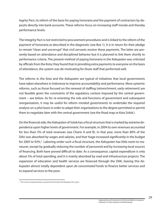tegrity Pact, its reform of the basis for paying honoraria and the payment of contractors by deposits directly into bank accounts. These reforms focus on increasing staff morale and thereby performance levels.

The Integrity Pact is not restricted to procurement procedures and is linked to the reform of the payment of honoraria as described in the diagnostic (see Box 1). It is in return for their pledge to remain "clean and uncorrupt" that civil servants receive these payments. The latter are presently based on attendance and disciplined behavior but it is planned to link them shortly to performance criteria. The present method of paying honoraria in the Kabupaten was criticized by officials from the Kota; they found that in providing extra payments to everyone on the basis of attendance, the system was de-motivating for those staff that performed well.

The reforms in the Kota and the Kabupaten are typical of initiatives that local governments have taken elsewhere in Indonesia to improve accountability and performance. More systemic reforms, such as those focused on the renewal of staffing (retrenchment, early retirement) are not feasible given the constraints of the regulatory context imposed by the central government – see below. As for re-orienting the role and functions of government and subsequent reorganization, it may be useful for reform minded governments to undertake the required analysis on a pilot basis in order to adapt their organizations to the degree permitted or permit them to negotiate later with the central government (see the Road map re Kota Solok.)

On the financial side, the Kabupaten of Solok has a fiscal structure that is marked by extreme dependence upon higher levels of government. For example, in 2004 its own revenues accounted for less than 5% of total revenues (see Charts A and B). In that year, more than 80% of the DAU was absorbed by wages and salaries, and that %age increased significantly in the budget for 2005 to 92%.<sup>2</sup> Laboring under such a fiscal structure, the Kabupaten has little room to maneuver, except by gradually reducing the number of personnel and by increasing local sources of financing. Both have proved difficult to date. As a consequence, capital expenditure is only about 5% of total spending, and it is mainly absorbed by road and infrastructure projects. The expansion of education and health services are financed through the DAK, leaving this Kabupaten almost totally dependent upon *de-concentrated* funds to finance better services and to expand services to the poor.

 $2$  This is due to unexpected factors associated with the split of the Kabupaten into 2 parts.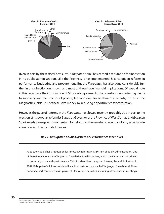

riven in part by these fiscal pressures, Kabupaten Solok has earned a reputation for innovation in its public administration. Like the Province, it has implemented Jakarta-driven reforms in performance budgeting and procurement. But the Kabupaten has also gone considerably further in this direction on its own and most of these have financial implications. Of special note in this regard are the introduction of Giro-to-Giro payments; the one-door service for payments to suppliers; and the practice of posting fees and days for settlement (see entry No. 18 in the Diagnostics Table). All of these save money by reducing opportunities for corruption.

However, the pace of reforms in the Kabupaten has slowed recently, probably due in part to the election of its popular, reformist Bupati as Governor of the Province of West Sumatra. Kabupaten Solok needs to re-gain its momentum for reform, as the remaining agenda is long, especially in areas related directly to its finances.

#### **Box 1: Kabupaten Solok's System of Performance Incentives**

Kabupaten Solok has a reputation for innovative reforms in its system of public administration. One of these innovations is the Tunjangan Daerah (Regional Incentive), which the Kabupatan introduced to better align pay with performance. This Box describes the system's strengths and limitations.In 2004, Kabupaten Solok consolidated local honoraria into a so-called Tunjangan Daerah fund. These honoraria had comprised cash payments for various activities, including attendance at meetings,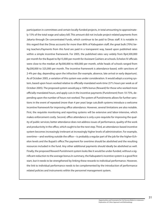participation in committees and certain locally-funded projects, in total amounting to approximately 15% of the total wage and salary bill. This amount did not include project-related payments from Jakarta through De-concentrated Funds, which continue to be paid to Dinas staff. It is notable in this regard that the Dinas accounts for more than 80% of Kabupaten staff, the great bulk (70%) being teachers.Payments from this fund are paid in a transparent way, based upon published rates within a simple incentive framework. For 2005, the published rates vary widely from Rp4,500,000 per month for the Bupati to Rp15,000 per month for Assistant Cashiers at schools. Echelon IV officials were close to the median at Rp300,000 to 400,000 per month, while heads of schools ranged from Rp200,000 to 325,000 per month. The incentive framework is attendance-based, with sanctions of 2-4% per day, depending upon the infraction (for example, absence, late arrival or early departure). As of October 2005, a variation of this system was under consideration. It would adopt a scoring system, based upon hours worked relative to officially-mandated work-time (37½ hours per week as of October 2005). The proposed system would pay a 100% bonus (Reward) for those who worked more officially-mandated hours, and apply cuts in the incentive payments (Punishment) from 10-75%, depending upon the number of hours not worked. The system of Punishments allows for further sanctions in the event of repeated (more than 4 per year) large cuts.Both systems introduce a welcome incentive framework for improving office attendance. However, several limitations are also notable. First, the requisite monitoring and reporting systems will be extensive and labor-intensive, which makes enforcement costly. Second, office attendance is only a pre-requisite for improving the quality of public services; better attendance does not address issues of performance, quality of the work and productivity in the office, which ought to be the next step. Third, an attendance-based incentive system becomes increasingly irrelevant at increasingly higher levels of administration. For example, overtime—and working outside the office—is probably a regular part of the job for the higher-Echelon levels and the Bupati's office.The payment for overtime should be abolished and the resulting resources included in the fund. Any other additional payments should ideally be abolished as well. Finally, the proposed Reward-Punishment system looks like it would be under-funded, without a significant reduction to the average bonus.In summary, the Kabupaten's incentive system is a good first start, but it needs to be strengthened by linking these rewards to individual performance. However, the link to individual performance needs to be complemented by the introduction of performance related policies and instruments within the personnel management system.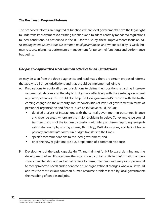#### **The Road map: Proposed Reforms**

The proposed reforms are targeted at functions where local government's have the legal right to undertake improvements to existing functions and to adapt centrally mandated regulations to local conditions. As prescribed in the TOR for this study, these improvements focus on basic management systems that are common to all governments and where capacity is weak: human resource planning; performance management for personnel functions; and performance budgeting.

#### **One possible approach: a set of common activities for all 3 jurisdictions**

As may be seen from the three diagnostics and road maps, there are certain proposed reforms that apply to all three jurisdictions and that should be implemented jointly:

- A. Preparations to equip all three jurisdictions to define their positions regarding inter-governmental relations and thereby to lobby more effectively with the central government regulatory agencies; this would also help the local government's to cope with the forthcoming changes to the authority and responsibilities of levels of government in terms of personnel, organization and finance. Such an initiative could include:
	- detailed analysis of interactions with the central government in personnel, finance and revenue areas: where are the major problems in delays (for example, personnel transfers); results of the formasi discussions with Menpan; issues regarding reorganization (for example, scoring criteria, flexibility); DAU discussions; and lack of transparency and multiple-sources in budget transfers to the Dinas;
	- specific recommendations to the local government; and
	- **once the new regulations are out, preparation of a common response.**
- B. Development of the basic capacity (by TA and training) for HR forward planning and the development of an HR data-base, the latter should contain sufficient information on personal characteristics and individual careers to permit planning and analysis of personnel to meet projected needs and to adapt to future organizational changes. Above all it would address the most serious common human resource problem faced by local government: the matching of people and jobs.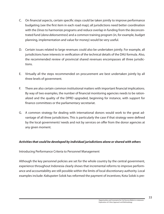- C. On financial aspects, certain specific steps could be taken jointly to improve performance budgeting (see the first item in each road map); all jurisdictions need better coordination with the *Dinas* to harmonize programs and reduce overlap in funding from the deconcentrated fund (dana dekonsentrasi) and a common training program (in, for example, budget planning, implementation and value for money) would be very useful.
- D. Certain issues related to large revenues could also be undertaken jointly. For example, all jurisdictions have interests in verification of the technical details of the DAU formula. Also, the recommended review of provincial shared revenues encompasses all three jurisdictions.
- E. Virtually all the steps recommended on procurement are best undertaken jointly by all three levels of government.
- F. There are also certain common institutional matters with important financial implications. By way of two examples, the number of financial monitoring agencies needs to be rationalized and the quality of the DPRD upgraded, beginning for instance, with support for finance committees or the parliamentary secretariat.
- G. A common strategy for dealing with international donors would work to the great advantage of all three jurisdictions. This is particularly the case if that strategy were defined by the local governments' needs and not by services on offer from the donor agencies at any given moment.

#### **Activities that could be developed by individual jurisdictions alone or shared with others**

#### Introducing Performance Criteria to Personnel Management

Although the key personnel policies are set for the whole country by the central government, experience throughout Indonesia clearly shows that incremental reforms to improve performance and accountability are still possible within the limits of local discretionary authority. Local examples include: Kabupaten Solok has reformed the payment of incentives; Kota Solok is pre-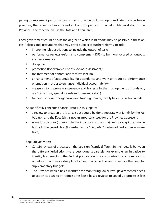paring to implement performance contracts for echelon II managers and later for all echelon positions; the Governor has imposed a fit and proper test for echelon II-IV level staff in the Province - and for echelon II in the Kota and Kabupaten.

Local government could discuss the degree to which joint efforts may be possible in these areas. Policies and instruments that may prove subject to further reforms include:

- improving job descriptions to include the output of tasks
- **•** performance reviews (reforms to complement DP3) to be more focused on outputs and performance
- **discipline**
- **Promotion (for example, use of external assessment);**
- **the treatment of honoraria/incentives (see Box 1)**
- enhancement of accountability for attendance and work (introduce a performance orientation in order to enhance individual accountability)
- measures to improve transparency and honesty in the management of funds (cf., pacta integritas; special incentives for revenue staff)
- training: options for organizing and funding training locally based on actual needs

As specifically concerns financial issues in this regard:

- a review to broaden the local tax base could be done separately or jointly by the Kabupaten and the Kota (this is not an important issue for the Province at present)
- some jurisdictions (for example, the Province and the Kota) need to adapt the innovations of other jurisdiction (for instance, the Kabupaten's system of performance incentives)

Separate activities:

- Certain reviews of processes—that are significantly different in their details between the different jurisdictions—are best done separately; for example, an initiative to identify bottlenecks in the Budget preparation process to introduce a more realistic schedule; to add more discipline to meet that schedule; and to reduce the need for supplementary budgets
- **The Province (which has a mandate for monitoring lower level governments) needs** to act on its own, to introduce time-lapse-based reviews to speed-up processes like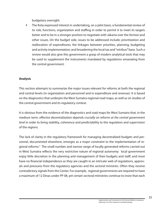budgetary oversight.

 The Kota expressed interest in undertaking, on a pilot basis, a fundamental review of its role, functions, organization and staffing in order to permit it to meet its targets better and to be in a stronger position to negotiate with Jakarta over the formasi and other issues. On the budget side, issues to be addressed include; prioritization and reallocation of expenditures; the linkages between priorities, planning, budgeting and activity implementation; and broadening the local tax and "retribusi" base. Such a review would also give this government a grasp of modern analytical tools that may be used to supplement the instruments mandated by regulations emanating from the central government.

#### **Analysis**

This section attempts to summarize the major issues relevant for reforms at both the regional and central levels (in organization and personnel and in expenditure and revenue). It is based on the diagnostics that underpin the West Sumatra regional road maps, as well as on studies of the central government and its regulatory context.

It is obvious from the evidence of the diagnostics and road maps for West Sumatra that, in the medium term, effective decentralization depends crucially on reforms at the central government level in order to bring stability, coherence and predictability to the regulation and supervision of the regions.

The lack of clarity in the regulatory framework for managing decentralized budgets and personnel, documented elsewhere, emerges as a major constraint to the implementation of regional reforms.<sup>3</sup> The small number and narrow range of locally generated reforms carried out in West Sumatra reflects the very restrictive nature of regional autonomy: local government enjoy little discretion in the planning and management of their budgets and staff; and most have no financial independence as they are caught in an intricate web of regulations, approvals and pressures from the regulatory agencies and the *sectoral ministries*. Often they receive contradictory signals from the Center. For example, regional governments are required to have a maximum of 12 Dinas under PP 08, yet certain sectoral ministries continue to insist that each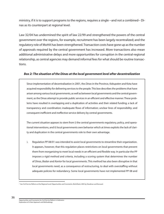ministry, if it is to support programs to the regions, requires a single --and not a combined-- Dinas as its counterpart at regional level.

Law 32/04 has undermined the spirit of law 22/99 and strengthened the powers of the central government over the regions, for example, recruitment has been largely recentralized; and the regulatory role of MoHA has been strengthened. Transaction costs have gone up as the number of approvals required by the central government has increased. More transactions also mean additional administrative delays and more opportunities for corruption in the central-regional relationship, as central agencies may demand informal fees for what should be routine transactions.

#### **Box 2: The situation of the Dinas at the local government level after decentralization**

Since implementation of decentralization in 2001, the *Dinas* in the Province, Kabupaten and Kota have acquired responsibility for delivering services to the people. This box describes the problems that have arisen among various local governments, as well as between local governments and the central government, as the Dinas attempt to provide public services in an efficient and effective manner. These problems have resulted in overlapping and a duplication of activities and their related funding; a lack of transparency and coordination; inadequate flows of information; unclear lines of responsibility; and consequent inefficient and ineffective service delivery by central governments.

The current situation appears to stem from i) the central governments regulatory, policy, and operational interventions, and ii) local governments own behavior which at times exploits the lack of clarity and duplication in the central governments role to their own advantage.

i. Regulation PP 08/01 was intended to assist local governments to streamline their organization. It appears, however, that this regulation places restrictions on local governments that prevent them from reorganizing to meet local needs in an efficient and flexible way. In particular the PP imposes a rigid method and criteria, including a scoring system that determines the number of Dinas, Badan and Kantor for local governments. This method has also been disruptive in that local governments need, as a consequence of restructuring, to deal with overstaffing without adequate policies for redundancy. Some local governments have not implemented PP 08 and

<sup>3</sup> See Civil Service Reforms at the Regional Level: Opportunities and Constraints, World Bank, 2005 by Steedman and Kenward.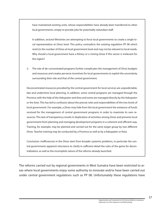have maintained existing units, whose responsibilities have already been transferred to other local governments, simply to provide jobs for potentially redundant staff.

In addition, sectoral Ministries are attempting to force local governments to create a single local representation at *Dinas* level. This policy contradicts the existing regulation PP 08 which restricts the number of *Dinas* at local government level and may not be relevant to local needs. Why should a local government have a fishery or a mining *Dinas* if this sector is irrelevant for the region?

ii. The role of de-concentrated programs further complicates the management of *Dinas* budgets and resources and creates perverse incentives for local governments to exploit the uncertainty surrounding their role and that of the central government.

Deconcentrated resources provided by the central government for local services are unpredictable, late and undermine local planning. In addition, some central programs are managed through the Province with the help of the Kabupaten and Kota and some are managed directly by the Kabupaten or the Kota. This has led to confusion about the precise roles and responsibilities of the two levels of local government. For example, a *Dinas* may hide from the local government the existence of funds received for the management of central government programs in order to maximize its own resources. This lack of transparency results in duplication of activities among *Dinas* and prevents local governments from planning and managing development programs in a coherent and efficient way. Training, for example, may be planned and carried out for the same target group by two different Dinas. Teacher training may be conducted by a Province as well as by a Kabupaten or Kota.

Conclusion: inefficiencies in the Dinas stem from broader systemic problems, in particular the central governments apparent reluctance to clarify in sufficient detail the rules of the game for decentralization, as well as the incomplete nature of the reforms already launched.

The reforms carried out by regional governments in West Sumatra have been restricted to areas where local governments enjoy some authority to innovate and/or have been carried out under central government regulations such as PP 08. Unfortunately these regulations have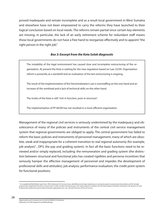proved inadequate and remain incomplete and as a result local government in West Sumatra and elsewhere have not been empowered to carry the reforms they have launched to their logical conclusion based on local needs. The reforms remain partial since certain key elements are missing; in particular, the lack of an early retirement scheme for redundant staff means those local governments do not have a free hand to reorganize effectively and to appoint "the right person in the right job."

#### **Box 3: Excerpt from the Kota Solok diagnostic**

The instability of the legal environment has caused slow and incomplete restructuring of the organization. At present the Kota is waiting for the new regulation based on Law 32/04. Organization reform is presently at a standstill and an evaluation of the last restructuring is ongoing.

The result of the implementation of the Decentralization Law is overstaffing on the one hand and an increase of the workload and a lack of technical skills on the other hand.

The motto of the Kota is still: "rich in function, poor in structure".

The implementation of PP 84/00 has not resulted in a more efficient organization.

Management of the regional civil services is seriously undermined by the inadequacy and obsolescence of many of the policies and instruments of the central civil service management system that regional governments are obliged to apply. The central government has failed to reform the basic policies and instruments of personnel management, many of which are obsolete, weak and inappropriate for a coherent transition to real regional autonomy (for example, job analysis<sup>4</sup>, DP3, the pay and grading system). In fact all the basic functions need to be reviewed and/or simply replaced, including: the remuneration and grading system (the distinction between structural and functional jobs has created rigidities and perverse incentives that seriously hamper the effective management of personnel and impedes the development of professional skills and attitudes); job analysis; performance evaluation; the credit point system for functional positions.

<sup>&</sup>lt;sup>3</sup> An unpublished World Bank report from 1993, Indonesia-Civil Service Issues, identified several major weaknesses in using job analysis to produce job descriptions and for broader purposes like mapping the functions of work units in order to reduce the bureaucracy. The report questions whether the use of job analysis should be continued in the absence of more fundamental analyses focused on determining the appropriate size, cost, role and functions of the civil service.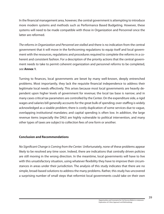In the financial management area, however, the central government is attempting to introduce more modern systems and methods such as Performance Based Budgeting. However, these systems will need to be made compatible with those in Organization and Personnel once the latter are reformed.

The reforms in Organization and Personnel are stalled and there is no indication from the central government that it will move in the forthcoming regulations to equip itself and local government with the resources, regulations and procedures required to complete the reforms in a coherent and consistent fashion. For a description of the priority actions that the central government needs to take to permit coherent organization and personnel reforms to be completed, see **Annex 1**.

Turning to finances, local governments are beset by many well-known, deeply entrenched problems. Most importantly, they lack the requisite financial independence to address their legitimate local needs effectively. This arises because most local governments are heavily dependent upon higher levels of government for revenue; the local tax base is narrow; and in many cases critical tax parameters are controlled by the Center. On the expenditure side, a rigid wages and salaries bill generally accounts for the great bulk of spending; over-staffing is widely acknowledged as a sizable problem; there is costly duplication of some services due to vague, overlapping institutional mandates; and capital spending is often low. In addition, the large revenue items (especially the DAU) are highly vulnerable to political intervention, and many other types of taxes are subject to collection fees of one form or another.

#### **Conclusion and Recommendations**

No Significant Change is Coming from the Center. Unfortunately, none of these problems appear likely to be resolved any time soon. Indeed, there are indications that centrally driven policies are still moving in the wrong direction. In the meantime, local governments will have to live with this unsatisfactory situation, using whatever flexibility they have to improve their circumstances in areas under their jurisdiction. The analysis of this study indicates that there are no simple, broad-based solutions to address the many problems. Rather, this study has uncovered a surprising number of small steps that reformist local governments could take on their own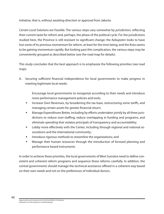initiative, that is, without awaiting direction or approval from Jakarta.

Certain Local Solutions are Feasible. The various steps vary somewhat by jurisdiction, reflecting their current taste for reform and, perhaps, the phase of the political cycle. For the jurisdictions studied here, the Province is still resistant to significant change; the Kabupaten looks to have lost some of its previous momentum for reform, at least for the time being; and the Kota seems to be gaining momentum rapidly. But looking past this complication, the various steps may be conveniently grouped as described below (see the road map for details).

This study concludes that the best approach is to emphasize the following priorities (see road map):

A. Securing sufficient financial independence for local governments to make progress in meeting legitimate local needs:

 Encourage local governments to reorganize according to their needs and introduce more performance management policies and tools;

- Increase Own Revenues, by broadening the tax base, restructuring some tariffs, and managing certain assets for greater financial return;
- Manage Expenditures Better, including by efforts undertaken jointly by all three jurisdictions to reduce over-staffing; reduce overlapping in funding and programs; and eliminate spending that violates principals of transparency and accountability;
- **EXECT** Lobby more effectively with the Center, including through regional and national associations and the international community;
- Introduce rigorous methods to streamline the organizations; and
- Manage their human resources through the introduction of forward planning and performance based instruments.

In order to achieve these priorities, the local governments of West Sumatra need to define consistent and coherent reform programs and sequence these reforms carefully. In addition, the central governments should manage the technical assistance offered in a coherent way based on their own needs and not on the preferences of individual donors.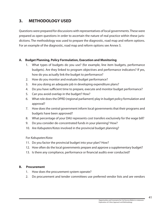# **3. METHODOLOGY USED**

Questions were prepared for discussions with representatives of local governments. These were prepared as open questions in order to ascertain the nature of real practice within these jurisdictions. The methodology was used to prepare the diagnostic, road map and reform options. For an example of the diagnostic, road map and reform options see Annex 5.

#### **A. Budget Planning, Policy Formulation, Execution and Monitoring**

- 1. What types of budgets do you use? (for example, line item budgets, performance budgets). Are they linked to program objectives and performance indicators? If yes, how do you actually link the budget to performance?
- 2. How do you monitor and evaluate budget performance?
- 3. Are you doing an adequate job in developing expenditure plans?
- 4. Do you have sufficient time to prepare, execute and monitor budget performance?
- 5. Can you avoid overlap in the budget? How?
- 6. What role does the DPRD (regional parliament) play in budget policy formulation and approval?
- 7. How does the central government inform local governments that their programs and budgets have been approved?
- 8. What percentage of your DAU represents cost transfers exclusively for the wage bill?
- 9. Do you consider de-concentrated funds in your planning? How?
- 10. Are Kabupaten/Kotas involved in the provincial budget planning?

#### For Kabupaten/Kota:

- 11. Do you factor the provincial budget into your plan? How?
- 12. How often do the local governments prepare and approve a supplementary budget?
- 13. Is there any compliance, performance or financial audits ever conducted?

#### **B. Procurement**

- 1. How does the procurement system operate?
- 2. Do procurement and tender committees use preferred vendor lists and are vendors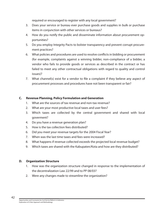required or encouraged to register with any local government?

- 3. Does your service or bureau ever purchase goods and supplies in bulk or purchase items in conjunction with other services or bureaus?
- 4. How do you notify the public and disseminate information about procurement opportunities?
- 5. Do you employ Integrity Pacts to bolster transparency and prevent corrupt procurement practices?
- 6. What policies and procedures are used to resolve conflicts in bidding or procurement (for example, complaints against a winning bidder, non-compliance of a bidder, a vendor who fails to provide goods or services as described in the contract or has failed to meet any other contractual obligations with regard to quality and control issues)?
- 7. What channel(s) exist for a vendor to file a complaint if they believe any aspect of procurement processes and procedures have not been transparent or fair?

#### **C. Revenue Planning, Policy Formulation and Generation**

- 1. What are the sources of tax revenue and non-tax revenue?
- 2. What are your most productive local taxes and user fees?
- 3. Which taxes are collected by the central government and shared with local goverment?
- 4. Do you have a revenue generation plan?
- 5. How is the tax collection fees distributed?
- 6. Did you meet your revenue targets for the 2004 Fiscal Year?
- 7. When was the last time taxes and fees were increased?
- 8. What happens if revenue collected exceeds the projected local revenue budget?
- 9. Which taxes are shared with the Kabupaten/Kota and how are they distributed?

#### **D. Organization Structure**

- 1. How was the organization structure changed in response to the implementation of the decentralization Law 22/99 and to PP 08/03?
- 2. Were any changes made to streamline the organization?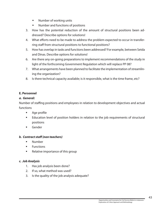- **Number of working units**
- Number and functions of positions
- 3. How has the potential reduction of the amount of structural positions been addressed? Describe options for solutions!
- 4. What efforts need to be made to address the problem expected to occur in transferring staff from structural positions to functional positions?
- 5. How has overlap in tasks and functions been addressed? For example, between Setda and Dinas. Describe options for solutions!
- 6. Are there any on-going preparations to implement recommendations of the study in light of the forthcoming Government Regulation which will replace PP 08?
- 7. What arrangements have been planned to facilitate the implementation of streamlining the organization?
- 8. Is there technical capacity available; is it responsible, what is the time frame, etc?

### **E. Personnel**

#### **a. General:**

Number of staffing positions and employees in relation to development objectives and actual functions

- Age profile
- Education level of position holders in relation to the job requirements of structural positions
- Gender

#### **b. Contract staff (non teachers)**

- **Number**
- **Functions**
- Relative importance of this group

#### **c. Job Analysis**

- 1. Has job analysis been done?
- 2. If so, what method was used?
- 3. Is the quality of the job analysis adequate?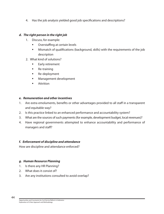4. Has the job analysis yielded good job specifications and descriptions?

#### **d. The right person in the right job**

- 1. Discuss, for example:
	- **•** Overstaffing at certain levels
	- Mismatch of qualifications (background, skills) with the requirements of the job description
- 2. What kind of solutions?
	- Early retirement
	- **Re-training**
	- **Re-deployment**
	- **Management development**
	- Attrition

#### **e. Remuneration and other incentives**

- 1. Are extra emoluments, benefits or other advantages provided to all staff in a transparent and equitable way?
- 2. Is this practice linked to an enhanced performance and accountability system?
- 3. What are the sources of such payments (for example, development budget, local revenues)?
- 4. Have regional governments attempted to enhance accountability and performance of managers and staff?

#### **f. Enforcement of discipline and attendance**

How are discipline and attendance enforced?

#### **g. Human Resource Planning**

- 1. Is there any HR Planning?
- 2. What does it consist of?
- 3. Are any institutions consulted to avoid overlap?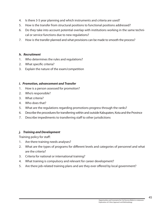- 4. Is there 3-5 year planning and which instruments and criteria are used?
- 5. How is the transfer from structural positions to functional positions addressed?
- 6. Do they take into account potential overlap with institutions working in the same technical or service functions due to new regulations?
- 7. How is the transfer planned and what provisions can be made to smooth the process?

#### **h. Recruitment**

- 1. Who determines the rules and regulations?
- 2. What specific criteria?
- 3. Explain the nature of the exam/competition

### **i. Promotion, advancement and Transfer**

- 1. How is a person assessed for promotion?
- 2. Who's responsible?
- 3. What criteria?
- 4. Who does that?
- 5. What are the regulations regarding promotions progress through the ranks?
- 6. Describe the procedures for transferring within and outside Kabupaten, Kota and the Province
- 7. Describe impediments to transferring staff to other jurisdictions

# **j. Training and Development**

Training policy for staff:

- 1. Are there training needs analyses?
- 2. What are the types of programs for different levels and categories of personnel and what are the criteria?
- 3. Criteria for national or international training?
- 4. What training is compulsory and relevant for career development?
- 5. Are there job-related training plans and are they ever offered by local government?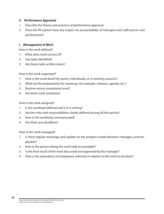#### **k. Performance Appraisal**

- 1. Describe the theory and practice of performance appraisal
- 2. Does the PA system have any impact on accountability of managers and staff and on unit performance?

#### **l. Management of Work**

How is the work defined?

- 1. What does work consist of?
- 2. Are tasks identified?
- 3. Are these tasks written down?

How is the work organized?

- 1. How is the work done? By teams, individually, or in working sessions?
- 2. What are the preparations for meetings, for example, minutes, agenda, etc.?
- 3. Routine versus exceptional work?
- 4. Are there work schedules?

How is the work assigned?

- 1. Is the workload defined and is it in writing?
- 2. Are the roles and responsibilities clearly defined among all the parties?
- 3. How is the workload communicated?
- 4. Are there any deadlines?

How is the work managed?

- 1. Is there regular exchange and update on the progress made between managers and employees?
- 2. How is the person doing the work held accountable?
- 3. Is the final result of the work discussed and approved by the manager?
- 4. How is the attendance of employees enforced in relation to the work to be done?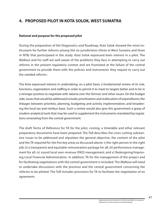# **4. PROPOSED PILOT IN KOTA SOLOK, WEST SUMATRA**

#### **Rational and purpose for the proposed pilot**

During the preparation of the Diagnostics and Roadmap, Kota Solok showed the most enthusiasm for further reforms among the six jurisdictions (three in West Sumatra and three in NTB) that participated in the study. Kota Solok expressed keen interest in a pilot. The Walkout and his staff are well aware of the problems they face in attempting to carry out reforms in the present regulatory context and are frustrated at the failure of the central government to provide them with the policies and instruments they require to carry out the needed reforms.

The Kota expressed interest in undertaking, on a pilot basis, a fundamental review of its role, functions, organization and staffing in order to permit it to meet its targets better and to be in a stronger position to negotiate with Jakarta over the 'formasi' and other issues. On the budget side, issues that would be addressed include; prioritization and reallocation of expenditures; the linkages between priorities, planning, budgeting and activity implementation; and broadening the local tax and retribusi base. Such a review would also give this government a grasp of modern analytical tools that may be used to supplement the instruments mandated by regulations emanating from the central government.

The draft Terms of Reference for TA for the pilot, costing, a timetable and other relevant preparatory documents have been prepared. The ToR describes the cross-cutting substantive issues to be addressed and stipulates the general objective, the content of the pilot and the TA required for the five key areas as discussed above: i) the right person in the right job; ii) a transparent and equitable remuneration package for all; iii) performance management for all; iv) sound local own revenue (PAD) management; and v) Redesigning/Improving Local Financial Administration. In addition, TA for the management of the project and for facilitating negotiations with the central government is included. The Walkout will need to undertake discussions with the province and the central government concerning the reforms to be piloted. The ToR includes provisions for TA to facilitate the negotiation of an agreement.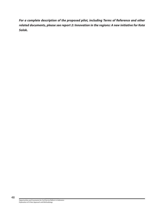**For a complete description of the proposed pilot, including Terms of Reference and other related documents, please see report 2: Innovation in the regions: A new initiative for Kota Solok.**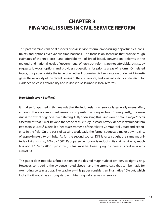# **CHAPTER 3 FINANCIAL ISSUES IN CIVIL SERVICE REFORM**

This part examines financial aspects of civil service reform, emphasizing opportunities, constraints and options over various time horizons. The focus is on scenarios that provide rough estimates of the (net) cost—and affordability—of broad-based, conventional reforms at the regional and national levels of government. Where such reforms are not affordable, this study suggests low-cost options and provides suggestions for priority areas of reform. On related topics, this paper revisits the issue of whether Indonesian civil servants are underpaid; investigates the reliability of the recent census of the civil service; and looks at specific kabupatens for evidence on cost, affordability and lessons to be learned in local reforms.

#### **How Much Over-Staffing?**

It is taken for granted in this analysis that the Indonesian civil service is generally over-staffed, although there are important issues of composition among sectors. Consequently, the main isue is the extent of general over-staffing. Fully addressing this issue would entail a major'needs assessment' that is well beyond the scope of this study. Instead, new evidence is examined from two main sources:<sup>i</sup> a detailed 'needs assessment' of the Jakarta Commercial Court; and experience in the field. On the basis of existing workloads, the former suggests a major down-sizing, of approximately two-thirds. As for the second source, DKI Jakarta sought the same magnitude of right-sizing, 70% by 2007. Kabupaten Jembrana is reducing its civil service by much less, about 10% by 2006. By contrast, Bulukumba has been trying to increase its civil service by almost 8%.

This paper does not take a firm position on the desired magnitude of civil service right-sizing. However, considering the evidence noted above—and the strong case that can be made for exempting certain groups, like teachers—this paper considers an illustrative 10% cut, which looks like it would be a strong start in right-sizing Indonesia's civil service.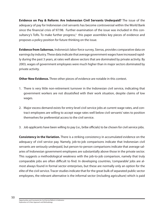**Evidence on Pay & Reform: Are Indonesian Civil Servants Underpaid?** The issue of the adequacy of pay for Indonesian civil servants has become controversial within the World Bank since the financial crisis of 97/98. Further examination of the issue was included in this consultancy's ToRs. To make further progress,<sup>ii</sup> this paper assembles key pieces of evidence and proposes a policy position for future thinking on the issue.

**Evidence from Sakernas.** Indonesia's labor force survey, Sierras, provides comparative data on earnings by industry. These data indicate that average government wages have increased rapidly during the past 3 years, at rates well above sectors that are dominated by private activity. By 2003, wages of government employees were much higher than in major sectors dominated by private activity.

**Other New Evidence.** Three other pieces of evidence are notable in this context.

- 1. There is very little non-retirement turnover in the Indonesian civil service, indicating that government workers are not dissatisfied with their work situation, despite claims of low wages.
- 2. Major excess demand exists for entry-level civil service jobs at current wage rates, and contract employees are willing to accept wage rates well below civil servants' rates to position themselves for preferential access to the civil service.
- 3. Job applicants have been willing to pay (i.e., bribe officials) to be chosen for civil service jobs.

**Consistency in the Variation.** There is a striking consistency in accumulated evidence on the adequacy of civil service pay. Namely, job-to-job comparisons indicate that Indonesian civil servants are seriously underpaid, but person-to-person comparisons indicate that average salaries of Indonesian government employees are substantially above those in the private sector. This suggests a methodological weakness with the job-to-job comparison, namely that truly comparable jobs are often difficult to find. In developing countries, 'comparable' jobs are almost always found in formal sector enterprises, but these are normally only an option for the elite of the civil service. Tracer studies indicate that for the great bulk of separated public sector employees, the relevant alternative is the informal sector (including agriculture) which is paid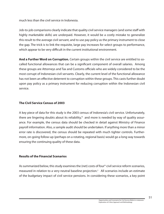much less than the civil service in Indonesia.

Job-to-job comparisons clearly indicate that quality civil service managers (and some staff with highly marketable skills) are underpaid. However, it would be a costly mistake to generalize this result to the average civil servant, and to use pay policy as the primary instrument to close the gap. The trick is to link the requisite, large pay increases for select groups to performance, which appear to be very difficult in the current institutional environment.

**And a Further Word on Corruption.** Certain groups within the civil service are entitled to socalled functional allowances that can be a significant component of overall salaries. Among these groups are Attorneys and Tax and Customs officials who are widely considered to be the most corrupt of Indonesian civil servants. Clearly, the current level of the functional allowance has not been an effective deterrent to corruption within these groups. This casts further doubt upon pay policy as a primary instrument for reducing corruption within the Indonesian civil service.

# **The Civil Service Census of 2003**

A key piece of data for this study is the 2003 census of Indonesia's civil service. Unfortunately, there are lingering doubts about its reliability,<sup>ii</sup> and more is needed by way of quality assurance. For example, the census data should be checked in detail against Ministry of Finance payroll information. Also, a sample audit should be undertaken. If anything more than a minor error rate is discovered, the census should be repeated with much tighter controls. Furthermore, on-going follow-up (perhaps on a rotating, regional basis) would go a long way towards ensuring the continuing quality of these data.

# **Results of the Financial Scenarios**

As summarized below, this study examines the (net) costs of four<sup>iv</sup> civil service reform scenarios, measured in relation to a very neutral baseline projection.<sup>v</sup> All scenarios include an estimate of the budgetary impact of civil service pensions. In considering these scenarios, a key point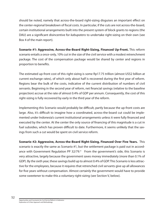should be noted, namely that across-the-board right-sizing disguises an important effect on the center-regional breakdown of fiscal costs. In particular, if the cuts are not across-the-board, certain institutional arrangements built into the present system of block grants to regions (the DAU) are a significant disincentive for kabupatens to undertake right-sizing on their own (see Box 4 of the main report).

**Scenario #1: Aggressive, Across-the-Board Right-Sizing, Financed Up-Front.** This reform scenario entails a once-only, 10% cut in the size of the civil service with a modest retrenchment package. The cost of the compensation package would be shared by center and regions in proportion to benefits.

The estimated up-front cost of this right-sizing is some Rp17.75 trillion (almost US\$2 billion at current exchange rates), of which only about half is recovered during the first year of reform. Regions bear the bulk of the costs, indicative of the current distribution of numbers of civil servants. Beginning in the second year of reform, net financial savings (relative to the baseline projection) accrue at the rate of almost 0.4% of GDP per annum. Consequently, the cost of this right-sizing is fully recovered by early in the third year of the reform.

Implementing this Scenario would probably be difficult, partly because the up-front costs are large. Also, it's difficult to imagine how a coordinated, across-the-board cut could be implemented under Indonesia's current institutional arrangements unless it were fully financed and executed by the center. At the center the only source of financing of this magnitude is a cut in fuel subsidies, which has proven difficult to date. Furthermore, it seems unlikely that the savings from such a cut would be spent on civil service reform.

**Scenario #2: Aggressive, Across-the-Board Right-Sizing, Financed Over Five Years.** This scenario is exactly the same as Scenario #1, but the settlement package is paid out in accordance with Government Regulation PP  $32/79$ . $\text{v}$  From the government's side, this Scenario is very attractive, largely because the government saves money immediately (more than 0.1% of GDP). By the sixth year, these savings build up to almost 0.4% of GDP. This Scenario is less attractive for the employees, because it requires that retrenched civil servants give up all allowances for five years without compensation. Almost certainly the government would have to provide some sweetener to make this a voluntary right-sizing (see Section V, below).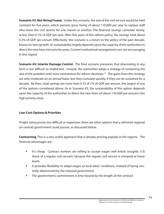**Scenario #3: Net Hiring Freeze.** Under this scenario, the size of the civil service would be held constant for five years, which permits gross hiring of about 110,000 per year to replace staff who leave the civil service for one reason or another. The financial savings cumulate slowly, at less than 0.1% of GDP per year. After five years of this reform policy, the savings total about 0.3% of GDP per annum. Effectively, this scenario is a return to the policy of the past decade, known as 'zero growth'. Its sustainability largely depends upon the capacity of the authorities to direct the new hires into priority areas. Current institutional arrangements are not encouraging in this regard.

**Scenario #4: Interim Damage Control.** The final scenario presumes that downsizing in any form is too difficult to implement. Instead, the authorities adopt a strategy of containing the size of the problem until more momentum for reform develops. $\vec{v}$  The gains from this strategy are only moderate on an annual basis, but they cumulate quickly, if they can be sustained for a decade. By then, total savings are more than 0.75 of 1% of GDP per annum, the largest of any of the options considered above. As in Scenario #3, the sustainability of this option depends upon the capacity of the authorities to direct the new hires (of about 150,000 per annum) into high priority areas.

# **Low-Cost Options & Priorities**

If right-sizing proves too difficult or expensive, there are other options that a reformist regional (or central) government could pursue, as discussed below.

**Contracting.** This is a very useful approach that is already proving popular in the regions. The financial advantages are:

- It's cheap. Contract workers are willing to accept wages well below (roughly 1/3) those of a regular civil servant, because the regular civil service is overpaid at lower levels.
- It provides flexibility to adapt wages to local labor conditions, instead of being centrally-determined by the national government.
- **The government's commitment is time-bound by the length of the contract.**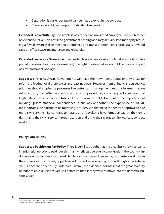- Separation is easier because it can be made explicit in the contract.
- **There are no hidden long-term liabilities, like pensions.**

**Extended Leave With Pay.** The simplest way to shed an unwanted employee is to put him/her on extended leave. This costs the government nothing and may actually save money by reducing a few allowances (like meeting attendance and transportation); on a large scale, it would save on office space, maintenance and electricity.

**Extended Leave as a Sweetener.** If extended leave is perceived as unfair (because it is interpreted as a reward for poor performance), the right to extended leave could be granted as part of a retrenchment package.

**Suggested Priority Areas.** Governments will have their own ideas about priority areas for reform, reflecting local preferences and past neglects. However, from a financial perspective, priorities should emphasize processes like better cash management; reforms in areas that are self-financing, like better contracting and costing procedures; and charging for services that legitimately justify user fees (retribusi). Lessons from the field also point to the importance of building up local financial independence, in one way or another. The experience of Bulukumba indicates the difficulties of improving local services that need the center's approval to hire more civil servants. By contrast, Jembrana and Yogyakarta have forged ahead on their own, right-sizing their civil service through attrition and using the savings to hire low-cost contract workers.

#### **Policy Conclusions**

**Suggested Position on Pay Policy.** There is very little doubt that the great bulk of civil servants in Indonesia are poorly paid, but this mainly reflects average income levels in the country. Indonesia's enormous supply of unskilled labor covets even low-paying, sub-entry-level jobs in the civil service. By contrast, upper levels of the civil service (and groups with highly marketable skills) appear to be seriously underpaid. Overall, the evidence indicates that the great majority of Indonesian civil servants are still better off than if they were to move into the domestic private sector.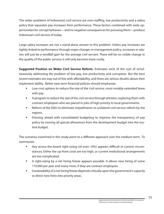The wider problems of Indonesia's civil service are over-staffing, low productivity and a salary policy that separates pay increases from performance. These factors combined with wide opportunities for corrupt behavior—and no negative consequences for pursuing them—produce Indonesia's civil service of today.

Large salary increases are not a stand-alone answer to this problem. Unless pay increases are tightly linked to performance through major changes in management policy, increases in salaries will just be a windfall gain for the average civil servant. There will be no visible change in the quality of the public service; it will only become more costly.

**Suggested Position on Wider Civil Service Reform.** Estimates exist of the cost of simultaneously addressing the problem of low pay, low productivity and corruption. But the best recent estimates are way out of line with affordability, and there are serious doubts about their implement-ability. Better near-term financial policies should emphasize:

- Low-cost options to reduce the size of the civil service, most notably extended leave with pay.
- **A** program to reduce the size of the civil service through attrition, replacing them with contract employees who are placed in jobs of high priority to local governments.
- Reform of the DAU to eliminate impediments to unilateral civil service reform by the regions.
- Pressing ahead with consolidated budgeting to improve the transparency of pay policy by moving all special allowances from the development budget into the routine budget.

The scenarios examined in this study point to a different approach over the medium-term. To summarize:

- Any across-the-board right-sizing (of even 10%) appears difficult in current circumstances. Either the up-front costs are too high, or current institutional arrangements are too complicated.
- A right-sizing by a net hiring freeze appears possible. It allows new hiring of some 110,000 per year and many more, if they are contract employees.
- Sustainability of a net hiring freeze depends critically upon the government's capacity to direct new hires into priority areas.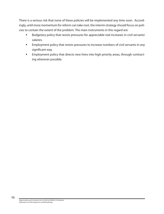There is a serious risk that none of these policies will be implemented any time soon. Accordingly, until more momentum for reform can take root, the interim strategy should focus on policies to contain the extent of the problem. The main instruments in this regard are:

- Budgetary policy that resists pressures for appreciable real increases in civil servants' salaries.
- **Employment policy that resists pressures to increase numbers of civil servants in any** significant way.
- **Employment policy that directs new hires into high priority areas, through contract**ing wherever possible.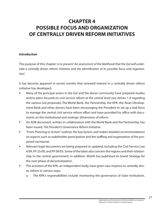# **CHAPTER 4 POSSIBLE FOCUS AND ORGANIZATION OF CENTRALLY DRIVEN REFORM INITIATIVES**

# **Introduction**

The purpose of this chapter is to present 'An assessment of the likelihood that the GoI will undertake a centrally driven reform initiative and the identification of its possible focus and organization'.

It has become apparent in recent months that renewed interest in a centrally driven reform initiative has developed:

- Many of the principal actors in the GoI and the donor community have prepared studies and/or plans focused on civil service reform at the central level (see Annex 1-4 regarding the various GoI proposals) The World Bank, the Partnership, the KPK, the Asian Development Bank and other donors have been encouraging the President to set up a task force to manage the central civil service reform effort and have provided his office with documents on the institutional and strategic dimensions of reform.
- An ADB document, written in collaboration with the World Bank and the Partnership, has been issued; The President's Governance Reform Initiative.
- "From Planning to Action" outlines the key factors and makes detailed recommendations on aspects such as stakeholder participation and the staffing and organization of the proposed secretariat.
- **EXECT** Relevant legal documents are being prepared or updated, including the Civil Service Law 4/99, PP 25/00, and PP 08/03. Some of the latter also concern the regions and their relationship to the central government; in addition, MoHA has published its Grand Strategy for the next phase of decentralization.
- The activities of the KPK, an independent body, have given new impetus to centrally driven reform in various ways:
	- a. The KPK's responsibilities include monitoring the governance of state institutions.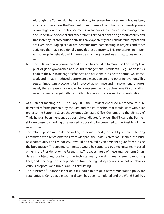Although the Commission has no authority to reorganize government bodies itself, it can and does advise the President on such issues. In addition, it can use its powers of investigation to compel departments and agencies to improve their management and undertake personnel and other reforms aimed at enhancing accountability and transparency. Its prosecution activities have apparently had considerable impact and are even discouraging senior civil servants from participating in projects and other activities that have traditionally provided extra income. This represents an important change in behavior, which may be changing incentives and attitudes towards reform.

- b. The KPK is a new organization and as such has decided to make itself an example or pilot of good governance and sound management. Presidential Regulation PP 23 enables the KPK to manage its finances and personnel outside the normal GoI framework and it has introduced performance management and other innovations. This sets an important precedent for improved governance and management. Unfortunately these measures are not yet fully implemented and at least one KPK official has recently been charged with committing bribery in the course of an investigation.
- At a Cabinet meeting on 15 February 2006 the President endorsed a proposal for fundamental reforms prepared by the KPK and the Partnership that would start with pilot projects; the Supreme Court, the Attorney General's Office, Customs and the Ministry of Trade have all been mentioned as possible candidates for pilots. The KPK and the Partnership are presently working on a revised proposal to be presented to the President in the near future.
- The reform program would, according to some reports, be led by a small Steering Committee with representatives from Menpan, the State Secretariat, Finance, the business community and civil society. It would be chaired by an eminent figure from outside the bureaucracy. The steering committee would be supported by a technical team based either in the Presidency or the Partnership. The exact nature of these arrangements (mandate and objectives; location of the technical team; oversight; management; reporting lines) and their degree of independence from the regulatory agencies are not yet clear, as various proposals and rumors are still circulating.
- The Minister of Finance has set up a task force to design a new remuneration policy for state officials. Considerable technical work has been completed and the World Bank has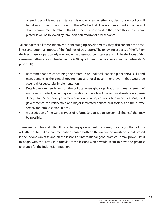offered to provide more assistance. It is not yet clear whether any decisions on policy will be taken in time to be included in the 2007 budget. This is an important initiative and shows commitment to reform. The Minister has also indicated that, once this study is completed, it will be followed by remuneration reform for civil servants.

Taken together all these initiatives are encouraging developments; they also enhance the timeliness and potential impact of the findings of this report. The following aspects of the ToR for the first phase are particularly relevant in the present circumstances and will be the focus of this assessment (they are also treated in the ADB report mentioned above and in the Partnership's proposals).

- Recommendations concerning the prerequisite –political leadership, technical skills and management at the central government and local government level – that would be essential for successful implementation.
- **Detailed recommendations on the political oversight, organization and management of** such a reform effort, including identification of the roles of the various stakeholders (Presidency, State Secretariat, parliamentarians, regulatory agencies, line ministries, MoF, local governments, the Partnership and major interested donors, civil society and the private sector, and public sector unions.)
- A description of the various types of reforms (organization, personnel, finance) that may be possible.

These are complex and difficult issues for any government to address; the analysis that follows will attempt to make recommendations based both on the unique circumstances that prevail in the Indonesian case and on the lessons of international good practice. It may prove useful to begin with the latter, in particular those lessons which would seem to have the greatest relevance for the Indonesian situation.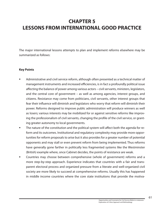# **CHAPTER 5 LESSONS FROM INTERNATIONAL GOOD PRACTICE**

The major international lessons attempts to plan and implement reforms elsewhere may be summarized as follows:

#### **Key Points**

- Administrative and civil service reform, although often presented as a technical matter of management instruments and increased efficiencies, is in fact a profoundly political issue affecting the balance of power among various actors – civil servants, ministers, legislators, and the central core of government – as well as among agencies, interest groups, and citizens. Resistance may come from politicians, civil servants, other interest groups that fear their influence will diminish and legislators who worry that reform will diminish their power. Reforms designed to improve public administration will produce winners as well as losers; various interests may be mobilized for or against sensitive reforms like improving the professionalism of civil servants, changing the profile of the civil service, or granting greater autonomy to local governments.
- The nature of the constitution and the political system will affect both the agenda for reform and its outcomes. Institutional and regulatory complexity may provide more opportunities for reform proposals to arise but it also provides for a greater number of potential opponents and may stall or even prevent reform from being implemented. Thus reforms have generally gone farther in politically less fragmented systems like the Westminster (British) example where, once Cabinet decides, the points of resistance are weak.
- Countries may choose between comprehensive (whole of government) reforms and a more step-by-step approach. Experience indicates that countries with a fair and transparent electoral process and organized pressure from a literate and well-organized civil society are more likely to succeed at comprehensive reforms. Usually this has happened in middle income countries where the core state institutions that provide the motiva-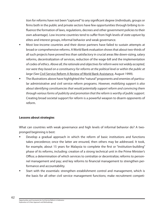tion for reforms have not been "captured" to any significant degree (individuals, groups or firms both in the public and private sectors have few opportunities through bribing to influence the formation of laws, regulations, decrees and other government policies to their own advantage). Low income countries tend to suffer from high levels of state capture by elites and interest groups, informal behavior and weak governance.

- Most low-income countries and their donor partners have failed to sustain attempts at broad or comprehensive reforms. A World Bank evaluation shows that about two-thirds of all such projects have proved less than satisfactory in crucial areas like down-sizing, salary reforms, decentralization of services, reduction of the wage-bill and the implementation of codes of ethics. Above all, the rationale and objectives for reform were not widely accepted, nor were they based on a constituency for reforms at the political level or within the public at large (See Civil Service Reform A Review of World Bank Assistance, August 1999).
- The illustrations above have highlighted the "natural" proponents and enemies of particular administrative and civil service reform programs. However, mobilizing support is also about identifying constituencies that would potentially support reform and convincing them through various forms of publicity and promotion that the reform is worthy of public support. Creating broad societal support for reform is a powerful weapon to disarm opponents of reform.

#### **Lessons about strategies**

What can countries with weak governance and high levels of informal behavior do? A twopronged beginning is best:

- Develop a gradual approach in which the reform of basic institutions and functions takes precedence; once the latter are ensured, then others may be addressed. It took, for example, about 15 years for Malaysia to complete the first or "institution-building" phase of its reforms, including: creation of a strong technical unit in the Prime Minister's Office; a determination of which services to centralize or decentralize; reforms to personnel management and pay; and key reforms to financial management to strengthen performance and accountability.
- Start with the essentials: strengthen establishment control and management, which is the basis for all other civil service management functions; make recruitment competi-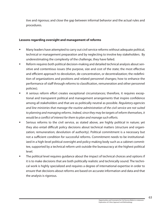tive and rigorous; and close the gap between informal behavior and the actual rules and procedures.

#### **Lessons regarding oversight and management of reforms**

- Many leaders have attempted to carry out civil service reforms without adequate political, technical or management preparation and by neglecting to involve key stakeholders. By underestimating the complexity of the challenge, they have failed.
- Reform requires both political decision-making and detailed technical analysis about sensitive and contentious issues (the purpose, size and cost of the state; the most effective and efficient approach to devolution, de-concentration, or decentralization; the redefinition of organizations and positions and related personnel changes; how to enhance the performance of staff through reforms to classification, remuneration and other personnel policies).
- A serious reform effort creates exceptional circumstances; therefore, it requires exceptional and transparent political and management arrangements that inspire confidence among all stakeholders and that are as politically neutral as possible. Regulatory agencies and line ministries that manage the routine administration of the civil service are not suited to planning and managing reforms. Indeed, since they may be targets of reform themselves, it would be a conflict of interest for them to plan and manage such efforts.
- Serious reforms to the civil service, as stated above, are highly political in nature; yet they also entail difficult policy decisions about technical matters (structure and organization; remuneration; devolution of authority). Political commitment is a necessary but not a sufficient condition for successful reforms. Commitment needs to be institutionalized in a high-level political oversight and policy-making body such as a cabinet committee, supported by a technical reform unit outside the bureaucracy at the highest political level.
- The political level requires guidance about the impact of technical choices and options if it is to make decisions that are both politically realistic and technically sound. The technical work is highly specialized and requires a degree of international expertise in order to ensure that decisions about reforms are based on accurate information and data and that the analysis is rigorous.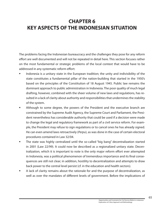# **CHAPTER 6 KEY ASPECTS OF THE INDONESIAN SITUATION**

The problems facing the Indonesian bureaucracy and the challenges they pose for any reform effort are well documented and will not be repeated in detail here. This section focuses rather on the most fundamental or strategic problems of the local context that would have to be addressed in any systematic reform effort:

- Indonesia is a unitary state in the European tradition; the unity and indivisibility of the state constitutes a fundamental pillar of the nation-building that started in the 1950's based on the principles of the Constitution of 18 August 1945. Public law remains the dominant approach to public administration in Indonesia. The poor quality of much legal drafting, however, combined with the sheer volume of new laws and regulations, has resulted in a lack of clarity about authority and responsibilities that undermines the stability of the system.
- Although to some degree, the powers of the President and the executive branch are constrained by the Supreme Audit Agency, the Supreme Court and Parliament, the President nevertheless has considerable authority that could be used if a decision were made to change the legal and regulatory framework as part of a civil service reform. For example, the President may refuse to sign regulations or to cancel ones he has already signed. He can even amend laws retroactively (Perpu), as was done in the case of certain electoral procedures contained in Law 32/04.
- **The state was highly centralized until the so-called "big bang" decentralization started** in 2001 (Law 22/99). It could now be described as a regionalized unitary state. Decentralization, which it is important to note is the only major reform effort ever attempted in Indonesia, was a political phenomenon of tremendous importance and its final consequences are still not clear; in addition, hostility to decentralization and attempts to draw back power to the central level persist (cf. in the education and health sectors).
- A lack of clarity remains about the rationale for and the purpose of decentralization, as well as over the mandates of different levels of government. Before the implications of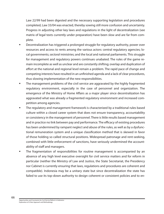Law 22/99 had been digested and the necessary supporting legislation and procedures completed, Law 33/04 was enacted, thereby sowing still more confusion and uncertainty. Progress in adjusting other key laws and regulations in the light of decentralization (see matrix of legal texts currently under preparation) have been slow and are far from complete.

- Decentralization has triggered a prolonged struggle for regulatory authority, power over resources and access to rents among the various actors: central regulatory agencies; local governments; sectoral ministries; and the local and national parliaments. This struggle for management and regulatory powers continues unabated. The rules of the game remain incomplete as well as unclear and are constantly shifting; overlap and duplication of effort at the national and regional level remain a problem. The rapid pace of change and competing interests have resulted in an unfinished agenda and a lack of clear procedures, thus slowing implementation of the new responsibilities.
- The management problems of the civil service are aggravated by the highly fragmented regulatory environment, especially in the case of personnel and organization. The emergence of the Ministry of Home Affairs as a major player since decentralization has aggravated what was already a fragmented regulatory environment and increased competition among agencies.
- The regulatory and management framework is characterized by a traditional rules based culture within a closed career system that does not ensure transparency, accountability or consistency in the management of personnel. There is little results based management and in practice no link between pay and performance. The efficacy of existing procedures has been undermined by rampant neglect and abuse of the rules, as well as by a dysfunctional remuneration system and a unique classification method that is skewed in favor of those holding so called structural positions. Widespread patronage and rent-seeking, combined with little enforcement of sanctions, have seriously undermined the accountability of staff and managers.
- The fragmentation of responsibilities for routine management is accompanied by an absence of any high level executive oversight for civil service matters and for reform in particular (neither the Ministry of Law and Justice, the State Secretariat, the Presidency nor Cabinet is currently ensuring that laws, regulations and procedures are coherent and compatible). Indonesia may be a unitary state but since decentralization the state has failed to use its top-down authority to design coherent or consistent policies and to en-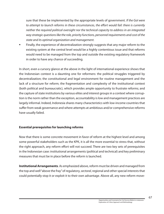sure that these be implemented by the appropriate levels of government. If the GoI were to attempt to launch reforms in these circumstances, the effort would fail: there is currently neither the required political oversight nor the technical capacity to address in an integrated way strategic questions like the role, priority functions, personnel requirements and cost of the state and its optimal organization and management.

**Finally, the experience of decentralization strongly suggests that any major reform to the** existing system at the central level would be a highly contentious issue and that reforms would need to be managed from the top and outside the existing regulatory framework in order to have any chance of succeeding.

In short, even a cursory glance at the above in the light of international experience shows that the Indonesian context is a daunting one for reformers: the political struggles triggered by decentralization; the constitutional and legal environment for routine management and the lack of a structure for reform; the fragmentation and complexity of the institutional context (both political and bureaucratic), which provides ample opportunity to frustrate reforms; and the capture of state institutions by various elites and interest groups in a context where corruption is the norm rather than the exception, accountability is low and management practices are largely informal. Indeed, Indonesia shares many characteristics with low-income countries that suffer from weak governance and where attempts at ambitious and/or comprehensive reforms have usually failed.

# **Essential prerequisites for launching reforms**

Now that there is some concrete movement in favor of reform at the highest level and among some powerful stakeholders such as the KPK, it is all the more essential to stress that, without the right approach, any reform effort will not succeed. There are two key sets of prerequisites in the Indonesian case: institutional arrangements (political and technical) and key preliminary measures that must be in place before the reform is launched.

**Institutional Arrangements**. As emphasized above, reform must be driven and managed from the top and well "above the fray" of regulatory, sectoral, regional and other special interests that could potentially stop it or exploit it to their own advantage. Above all, any new reform move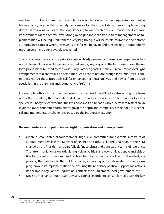ment must not be captured by the regulatory agencies, since it is the fragmented and unstable regulatory regime that is largely responsible for the current difficulties in implementing decentralization, as well as for the long-standing failure to achieve even modest performance improvements at the central level. Strong oversight and clear, transparent management of implementation will be required from the very beginning. It will be crucial to impose and enforce authority in a context where, after years of informal behavior and rent seeking, accountability mechanisms have been severely weakened.

The crucial importance of this principle, while clearly proven by international experience, has not yet been fully acknowledged or accepted among key players in the Indonesian case. The reform proposals submitted by the various regulatory agencies (Annex 3) recommend oversight arrangements that are weak and part-time such as coordination through inter-ministerial committees. Nor do these proposals call for enhanced technical analysis and advice from outside specialists in the planning and sequencing of reforms.

For example, although the governance reform initiative of the KPK advocates setting up a team under the President, the mandate and degree of independence of the team are not clearly spelled. It is not yet clear whether the President and Cabinet as a whole (certain ministers are in favor of a more coherent reform effort) grasp the depth and complexity of the political, technical and implementation challenges posed by the Indonesian situation.

#### **Recommendations on political oversight, organization and management**

- Create a small (three or four member) high level committee (for example, a mixture of Cabinet members like the Minister of Finance and others like the Chairman of the KPK) chaired by the President and carefully define a robust and transparent terms of reference. The latter should focus on articulating a clear political and economic rationale and objective for the reforms; recommending how best to involve stakeholders in the effort; explaining the initiative to the public at large; approving proposals related to the reform program and its implementation and ensuring the necessary political support and actions (for example, regulations, legislation, contacts with Parliament, local government, etc.)
- Devise a mechanism such as an "advisory council" in order to consult formally with the key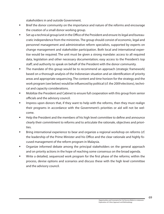stakeholders in and outside Government.

- Brief the donor community on the importance and nature of the reforms and encourage the creation of a small donor working group.
- Set up a technical group/unit in the Office of the President and ensure its legal and bureaucratic independence from the ministries. The group should consist of economic, legal and personnel management and administrative reform specialists, supported by experts on change management and stakeholder participation. Both local and international expertise would be required. The unit must be given a strong mandate: access to all required data, legislation and other necessary documentation; easy access to the President's top staff; and authority to speak on behalf of the President with the donor community.
- The mandate of this group would be to recommend an approach (strategic framework) based on a thorough analysis of the Indonesian situation and an identification of priority areas and appropriate sequencing. The content and time horizon for the strategy and the work program (see below) would be influenced by political (cf. the 2009 elections), technical and capacity considerations.
- Mobilize the President and Cabinet to ensure full cooperation with this group from senior officials and the advisory council.
- **IMP** Impress upon donors that, if they want to help with the reforms, then they must realign their programs in accordance with the Government's priorities or aid will not be welcome.
- Help the President and the members of his high level committee to define and announce clearly their commitment to reforms and to articulate the rationale, objectives and priorities.
- Bring international experience to bear and organize a regional workshop on reforms (cf. the leadership of the Prime Minister and his Office and the clear rationale and highly focused management of the reform program in Malaysia.
- Organize informed debate among the principal stakeholders on the general approach and on priority actions in the hope of reaching some consensus on the broad agenda.
- Write a detailed, sequenced work program for the first phase of the reforms; within the process, devise options and scenarios and discuss these with the high level committee and the advisory council.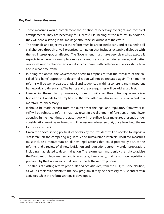#### **Key Preliminary Measures**

- These measures would complement the creation of necessary oversight and technical arrangements. They are necessary for successful launching of the reforms. In addition, they will send a strong initial message about the seriousness of the effort.
- **The rationale and objectives of the reform must be articulated clearly and explained to all** stakeholders through a well-organized campaign that includes extensive dialogue with the key interest groups affected. The Government must make very clear what exactly it expects to achieve (for example, a more efficient use of scarce state resources; and better services through enhanced accountability combined with better incentives for staff), how and in what time-frame.
- In doing the above, the Government needs to emphasize that the mistakes of the socalled "big bang" approach to decentralization will not be repeated again. This time the reforms will be well prepared, gradual and sequenced within a coherent and transparent framework and time-frame. The basics and the prerequisites will be addressed first.
- In reviewing the regulatory framework, this reform will affect the continuing decentralization efforts; it needs to be emphasized that the latter are also subject to review and to a moratorium if necessary.
- It should be made explicit from the outset that the legal and regulatory framework itself will be subject to reforms that may result in a realignment of functions among fewer agencies. In the meantime, the status quo will not suffice: legal measures presently under consideration must be reviewed and if necessary delayed so that, once launched, the reforms stay on track.
- Given the above, strong political leadership by the President will be needed to impose a "cease fire" on the competing regulatory and bureaucratic interests. Required measures must include a moratorium on all new legal actions that could potentially disrupt the reforms, and a review of all new legislation and regulations currently under preparation, including that related to decentralization. The reform team must enjoy the right to advise the President on legal matters and to advocate, if necessary, that he not sign regulations prepared by the bureaucracy that could impede the reform process.
- The status of existing reform proposals and activities (cf., from the KPK) must be clarified, as well as their relationship to the new program. It may be necessary to suspend certain activities while the reform strategy is developed.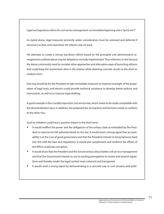Legal and regulatory reform for civil service management: an immediate beginning and a "quick win"?

As stated above, legal measures presently under consideration must be reviewed and deferred if necessary so that, once launched, the reforms stay on track.

Yet attempts to create a strong top-down reform based on the principles and administrative arrangements outlined above may be delayed or not fully implemented. Thus reformers in the GoI and the donor community need to consider other approaches and alternative ways of launching reforms that could keep the momentum alive in the interim while attaining concrete results in the short to medium term.

One way would be for the President to take immediate measures to improve oversight of the preparation of legal texts; and donors could provide technical assistance to develop better policies and instruments, as well as to improve legal drafting.

A good example is the crucially important civil service law, which needs to be made compatible with the decentralization laws; in addition, the proposed law on teachers and lecturers needs to conform to the other two.

Such an initiative could have a positive impact in the short term:

- It would reaffirm the power and the obligations of the unitary state as embodied by the President to exercise his full authority based on the law. It would send a strong signal that accountability is at the core of good governance and that the President intends to bring behavior back into line with the laws and regulations. It would also complement and reinforce the efforts of the KPK to eradicate corruption.
- It would show that the President and the GoI are serious about better civil service management and that the Government intends to use its existing prerogatives to review and amend regulations and thereby render the legal context more coherent and transparent.
- It would send a strong signal by demonstrating in a concrete way to civil servants and politi-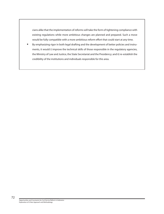cians alike that the implementation of reforms will take the form of tightening compliance with existing regulations while more ambitious changes are planned and prepared. Such a move would be fully compatible with a more ambitious reform effort that could start at any time.

 By emphasizing rigor in both legal drafting and the development of better policies and instruments, it would i) improve the technical skills of those responsible in the regulatory agencies, the Ministry of Law and Justice, the State Secretariat and the Presidency; and ii) re-establish the credibility of the institutions and individuals responsible for this area.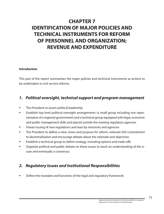# **CHAPTER 7 IDENTIFICATION OF MAJOR POLICIES AND TECHNICAL INSTRUMENTS FOR REFORM OF PERSONNEL AND ORGANIZATION; REVENUE AND EXPENDITURE**

## **Introduction**

This part of the report summarizes the major policies and technical instruments as actions to be undertaken in civil service reforms.

## **1. Political oversight, technical support and program management**

- The President to assert political leadership
- Establish top level political oversight arrangements (a small group including one representative of a regional government) and a technical group equipped with legal, economic and public management skills and placed outside the existing regulatory agencies
- Freeze issuing of new regulations and laws by ministries and agencies
- The President to define a clear vision and purpose for reform, reiterate GOI commitment to decentralization and encourage debate about the rationale and objectives
- Establish a technical group to define strategy, including options and trade-offs
- Organize political and public debate on these issues to reach an understanding of the issues and eventually a consensus

## **2. Regulatory Issues and Institutional Responsibilities**

Define the mandate and functions of the legal and regulatory framework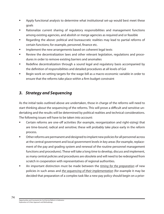- Apply functional analysis to determine what institutional set-up would best meet these goals
- Rationalize current sharing of regulatory responsibilities and management functions among existing agencies, and abolish or merge agencies as required and or feasible
- Regarding the above: political and bureaucratic realities may lead to partial reforms of certain functions; for example, personnel, finance etc.
- **IMPLEMENTE IMPLEMENT IN A THE NET ATT IMPLEMENT IMAGES** In the new arrangement on coherent legal texts
- Review the decentralization laws and other relevant legislation, regulations and procedures in order to remove existing barriers and anomalies
- Redefine decentralization through a sound legal and regulatory basis accompanied by the definition of responsibilities and detailed procedures at all levels of GoI
- Begin work on setting targets for the wage-bill as a macro-economic variable in order to ensure that the reforms take place within a firm budget constraint

## **3. Strategy and Sequencing**

As the initial tasks outlined above are undertaken, those in charge of the reforms will need to start thinking about the sequencing of the reforms. This will prove a difficult and sensitive undertaking and the results will be determined by political realities and technical considerations. The following issues will have to be taken into account:

- Certain reforms are one-off activities (for example, reorganization and right-sizing) that are time-bound, radical and sensitive; these will probably take place early in the reform process.
- Other reforms are permanent and designed to implant new policies for all personnel across at the central government and local government levels in key areas (for example, replacement of the pay and grading system and renewal of the routine personnel management functions and procedures). These will take a long time to develop, discuss and implement, as many central policies and procedures are obsolete and will need to be redesigned from scratch in cooperation with representatives of regional authorities.
- An important distinction must be made between the *timing for the preparation* of new policies in such areas and the sequencing of their implementation (for example it may be decided that preparation of a complex task like a new pay policy should begin on a prior-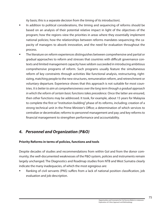ity basis; this is a separate decision from the timing of its introduction).

- In addition to political considerations, the timing and sequencing of reforms should be based on an analysis of their potential relative impact in light of the objectives of the program; how the regions view the priorities in areas where they essentially implement national policies; how the relationships between reforms mandates sequencing; the capacity of managers to absorb innovation, and the need for evaluation throughout the process.
- The literature on reform experiences distinguishes between comprehensive and partial or gradual approaches to reform and stresses that countries with difficult governance contexts and limited management capacity have seldom succeeded in introducing ambitious comprehensive programs of reform. Such programs usually feature the simultaneous reform of key constraints through activities like functional analysis, restructuring, rightsizing, matching people to the new structures, remuneration reform, and retrenchment or voluntary departure. Experience shows that this approach is not suitable for most countries. It is better to aim at comprehensiveness over the long term through a gradual approach in which the reform of certain basic functions takes precedence. Once the latter are ensured, then other functions may be addressed. It took, for example, about 15 years for Malaysia to complete the first or "institution-building" phase of its reforms, including; creation of a strong technical unit in the Prime Minister's Office; a determination of which services to centralize or decentralize; reforms to personnel management and pay; and key reforms to financial management to strengthen performance and accountability.

## **4. Personnel and Organization (P&O)**

## **Priority Reforms in terms of policies, functions and tools**

Despite decades of studies and recommendations from within GoI and from the donor community, the well-documented weaknesses of the P&O system, policies and instruments remain largely unchanged. The Diagnostics and Roadmap studies from NTB and West Sumatra clearly indicate the many inadequacies, of which the most egregious are:

 Ranking of civil servants (PNS) suffers from a lack of national position classification, job evaluation and job description.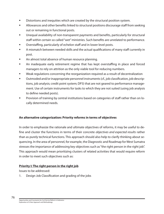- Distortions and inequities which are created by the structural position system.
- **Allowances and other benefits linked to structural positions discourage staff from seeking** out or remaining in functional posts.
- Unequal availability of non-transparent payments and benefits, particularly for structural staff within certain so called "wet" ministries. Such benefits are unrelated to performance.
- Overstaffing, particularly of echelon staff and in lower level posts.
- A mismatch between needed skills and the actual qualifications of many staff currently in post.
- An almost total absence of human resource planning.
- An inadequate early retirement regime that has kept overstaffing in place and forced managers to rely on attrition as the only viable tool for reducing numbers.
- Weak regulations concerning the reorganization required as a result of decentralization
- Outmoded and/or inappropriate personnel instruments (cf., job classification, job descriptions, job analysis; credit point system; DP3) that are not geared to performance management. Use of certain instruments for tasks to which they are not suited (using job analysis to define needed posts).
- **Provision of training by central institutions based on categories of staff rather than on lo**cally determined needs.

## **An alternative categorization: Priority reforms in terms of objectives**

In order to emphasize the rationale and ultimate objectives of reforms, it may be useful to define and cluster the functions in terms of their concrete objectives and expected results rather than as purely technical functions. This approach should also help to clarify thinking about sequencing. In the area of personnel, for example, the Diagnostic and Roadmap for West Sumatra stresses the importance of addressing key objectives such as "the right person in the right job". This approach would mean prioritizing clusters of related activities that would require reform in order to meet such objectives such as:

## **Priority I: The right person in the right job**

Issues to be addressed:

1. Design Job Classification and grading of the jobs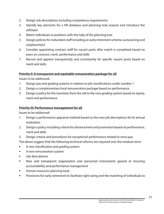- 2. Design Job descriptions including competency requirements
- 3. Identify key elements for a HR database and planning tool; acquire and introduce the software
- 4. Match individuals to positions with the help of the planning tool
- 5. Design policies for redundant staff including an early retirement scheme, outsourcing and outplacement
- 6. Consider appointing contract staff for vacant posts after match is completed based on years on contract, merit, performance and skills
- 7. Recruit and appoint transparently and consistently for specific vacant posts based on merit and skills

## **Priority II: A transparent and equitable remuneration package for all**

Issues to be addressed:

- 1. Design pay and grading systems in relation to job classifications under number 1
- 2. Design a complementary local remuneration package based on performance
- 3. Design a policy for the transition from the old to the new grading system based on equity, merit and performance

### **Priority III: Performance management for all**

Issues to be addressed:

- 1. Design a performance appraisal method based on the new job descriptions for bi-annual evaluation
- 2. Design a policy including criteria for advancement and promotion based on performance, merit and skills
- 3. Design criteria and procedures for exceptional performance related to extra pay
- The above suggest that the following technical reforms are required over the medium term:
- A new classification and grading system
- **A** new remuneration system
- **Job descriptions**
- New and transparent organization and personnel instruments geared at ensuring accountability and performance management
- **Human resources planning tools**
- **Provisions for early retirement to facilitate right-sizing and the matching of individuals to**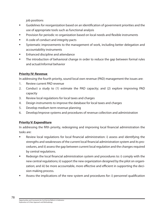job positions

- Guidelines for reorganization based on an identification of government priorities and the use of appropriate tools such as functional analysis
- Provision for periodic re-organization based on local needs and flexible instruments
- A code of conduct and integrity pacts
- Systematic improvements to the management of work, including better delegation and accountability instruments
- Enhanced discipline and attendance
- The introduction of behavioral change in order to reduce the gap between formal rules and actual/informal behavior

## **Priority IV: Revenue**

In addressing the fourth priority, sound local own revenue (PAD) management the issues are:

- 1. Review current PAD revenue
- 2. Conduct a study to (1) estimate the PAD capacity; and (2) explore improving PAD capacity
- 3. Review local regulations for local taxes and charges
- 4. Design instruments to improve the database for local taxes and charges
- 5. Develop medium term revenue planning
- 6. Develop/improve systems and procedures of revenue collection and administration

## **Priority V: Expenditure**

In addressing the fifth priority, redesigning and improving local financial administration the tasks are:

- Review local regulations for local financial administration: i) assess and identifying the strengths and weaknesses of the current local financial administration system and its procedures, and ii) assess the gap between current local regulation and the changes required by central regulations.
- Redesign the local financial administration system and procedures to: i) comply with the new central regulations; ii) support the new organization designed by the pilot on organization; and iii) be more accountable, more effective and efficient in supporting the decision making process.
- Assess the implications of the new system and procedures for: i) personnel qualification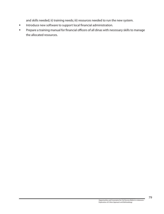and skills needed; ii) training needs; iii) resources needed to run the new system.

- **Introduce new software to support local financial administration.**
- Prepare a training manual for financial officers of all dinas with necessary skills to manage the allocated resources.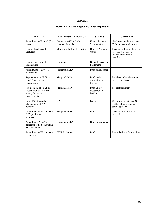#### **Matrix of Laws and Regulations under Preparation**

| <b>LEGAL TEXT</b>                                                                        | <b>RESPONSIBLE AGENCY</b>                 | <b>STATUS</b>                               | <b>COMMENTS</b>                                                                             |
|------------------------------------------------------------------------------------------|-------------------------------------------|---------------------------------------------|---------------------------------------------------------------------------------------------|
| Amendment of Law 43 (CS<br>Law)                                                          | Partnership-STIA (LAN<br>Graduate School) | Under discussion.<br>See note attached      | Need to reconcile with Law<br>32/04 on decentralization                                     |
| Law on Teaches and<br>Lecturers                                                          | Ministry of National Education            | Draft at President's<br>Office              | Enhance professionalism and<br>job security; specifies<br>allowances and other<br>benefits. |
| Law on Government<br>Organization                                                        | Parliament                                | Being discussed in<br>Parliament            |                                                                                             |
| Amendment of Law 11/69<br>on Pensions                                                    | Partnership/BKN                           | Draft policy paper                          |                                                                                             |
| Replacement of PP 08 on<br><b>Local Government</b><br>Organization                       | Menpan/MoHA                               | Draft under<br>discussion in<br><b>MoHA</b> | Based on authorities rather<br>than on functions                                            |
| Replacement of PP 25 on<br>Distribution of Authorities<br>among Levels of<br>Governments | Menpan/MoHA                               | Draft under<br>discussion in<br><b>MoHA</b> | See draft summary                                                                           |
| New PP 63/05 on the<br>Management of KPK<br>personnel                                    | <b>KPK</b>                                | Issued                                      | Under implementation. Non-<br>traditional performance<br>based approach                     |
| Amendment of PP 10/80 on<br>DP3 (performance<br>appraisal)                               | Menpan and BKN                            | Draft                                       | More performance based<br>than before                                                       |
| Amendment PP 52/79 on<br>departure of PNS, including<br>early retirement                 | Partnership/BKN                           | Draft policy paper                          |                                                                                             |
| Amendment of PP 30/80 on<br>Discipline                                                   | BKN & Menpan                              | Draft                                       | Revised criteria for sanctions                                                              |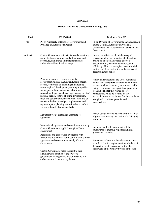#### **Draft of New PP 25 Compared to Existing Text**

| <b>Topic</b> | PP 25/2000                                                                                                                                                                                                                                                                                                                                                                                                                                                                                                                                             | Draft of a New PP                                                                                                                                                                                                                                                                                                                                                                                  |
|--------------|--------------------------------------------------------------------------------------------------------------------------------------------------------------------------------------------------------------------------------------------------------------------------------------------------------------------------------------------------------------------------------------------------------------------------------------------------------------------------------------------------------------------------------------------------------|----------------------------------------------------------------------------------------------------------------------------------------------------------------------------------------------------------------------------------------------------------------------------------------------------------------------------------------------------------------------------------------------------|
| Title        | PP on Authority of (Central) Government and<br>Province as Autonomous Region                                                                                                                                                                                                                                                                                                                                                                                                                                                                           | PP on Division of Governmental Affairs/urusan<br>among Central, Autonomous Provincial<br>Government, and Autonomous Kabupaten/Kota<br>Government                                                                                                                                                                                                                                                   |
| Authority    | Central Government authority is mostly in setting<br>policy that covers norm, standard, criteria, and<br>procedure, and limited in implementation of<br>authorities with national coverage                                                                                                                                                                                                                                                                                                                                                             | Concurrent affairs are divided among all<br>governmental levels proportionally based on<br>principles of externality (area effected),<br>accountability (to avoid duplication), and<br>efficiency. All to be synergized toward social<br>welfare and democratization as the essence of<br>decentralization policy.                                                                                 |
|              | Provincial Authority: in governmental<br>sector/bidang across Kabupaten/Kota in specific<br>sectors, comprises of: planning and directing<br>macro regional development, training in specific<br>sector, potent human resources allocation,<br>research with provincial coverage, management of<br>regional harbor, control of living environment,<br>trade and culture/tourism promotion, handling of<br>transferable disease and pest in plantation, and<br>regional spatial planning authority that is not/not<br>yet carried out by Kabupaten/Kota | Affairs under Regional and Local authorities<br>comprise of obligatory that related with basic<br>services such as elementary education, health,<br>living environment, transportation, population,<br>etc., and optional that related to core<br>competence. All to be focused on the<br>accomplishment of social welfare in accordance<br>to regional condition, potential and<br>specification. |
|              | Kabupaten/Kota' authorities according to<br>agreement                                                                                                                                                                                                                                                                                                                                                                                                                                                                                                  | Beside obligatory and optional affairs all level<br>of governments carry out "left out" affairs (vrij<br>bestuur).                                                                                                                                                                                                                                                                                 |
|              | International agreement and commitment made by<br>Central Government applied to regional/local<br>government<br>Agreement and cooperation by regions with                                                                                                                                                                                                                                                                                                                                                                                              | Regional and local government will be<br>empowered to improve regional and local<br>government capacity.                                                                                                                                                                                                                                                                                           |
|              | foreign institution must not in conflict with similar<br>agreement and cooperation made by Central<br>Government                                                                                                                                                                                                                                                                                                                                                                                                                                       | Interconnectedness and interdependency must<br>be reflected in the implementation of affairs of<br>different level of government within the<br>framework of the Unitary System of the GoI.                                                                                                                                                                                                         |
|              | Central Government holds the right to take<br>administrative sanction to the RG/local<br>government for neglecting and/or breaking the<br>enforcement of laws and regulation                                                                                                                                                                                                                                                                                                                                                                           |                                                                                                                                                                                                                                                                                                                                                                                                    |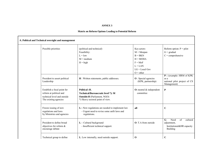#### **Matrix on Reform Options Leading to Potential Reform**

| A. Political and Technical oversight and management |                                                                                                                |                                                                                                                                |                                                                                                                    |                                                                                                             |  |
|-----------------------------------------------------|----------------------------------------------------------------------------------------------------------------|--------------------------------------------------------------------------------------------------------------------------------|--------------------------------------------------------------------------------------------------------------------|-------------------------------------------------------------------------------------------------------------|--|
|                                                     | Possible priorities                                                                                            | (political and technical)<br>Feasibility:<br>$L = 1$ ow<br>$M = \text{medium}$<br>$H = high$                                   | Key actors:<br>$M = Mepan$<br>$B = BKN$<br>$H = MOHA$<br>$F = MoF$<br>$L = LAN$<br>$LG = Local Gov$<br>$Q = other$ | Reform option: $P = pilot$<br>$G = \text{gradual}$<br>$C =$ comprehensive                                   |  |
|                                                     | President to assert political<br>Leadership                                                                    | <b>H</b> : Written statements, public addresses.                                                                               | <b>O</b> : Special agencies<br>(KPK, partnership)                                                                  | P: (example: HRM of KPK)<br>as a<br>national pilot project of CS<br>Management)                             |  |
|                                                     | Establish a focal point for<br>reform at political and<br>technical level and outside<br>The existing agencies | Political :H.<br>Technical/Bureaucratic level *): M<br><b>Outside: H</b> (Parliament, NGO)<br>*) Heavy sectoral point of view. | $O:$ neutral $&$ independent<br>committee                                                                          | ${\bf P}$                                                                                                   |  |
|                                                     | Freeze issuing of new<br>regulations and laws<br>by Ministries and agencies                                    | L: -New regulations are needed to implement law<br>- Urgent need to revise some unfit laws and<br>regulations.                 | all                                                                                                                | $\mathbf C$                                                                                                 |  |
|                                                     | President to define broad<br>objectives for reform &<br>encourage debate                                       | L: - Cultural background<br>- Insufficient technical support.                                                                  | $O: T.A$ from outside                                                                                              | $\overline{\mathbf{G}}$ :<br>Need<br>of<br>cultural<br>adjustment,<br>Institutional&HR capacity<br>Building |  |
|                                                     | Technical group to define                                                                                      | L: Low internally, need outside support.                                                                                       | $\bf{0}$                                                                                                           | $\mathbf C$                                                                                                 |  |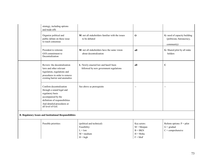| strategy, including options<br>and trade-offs                                                                                                                                        |                                                                                             |                                                                    |                                                                            |
|--------------------------------------------------------------------------------------------------------------------------------------------------------------------------------------|---------------------------------------------------------------------------------------------|--------------------------------------------------------------------|----------------------------------------------------------------------------|
| Organize political and<br>public debate on these issue<br>to reach consensus                                                                                                         | M: not all stakeholders familiar with the issues<br>to be debated                           | $\mathbf 0$                                                        | G: need of capacity building<br>(politician, bureaucracy,<br>community)    |
| President to reiterate<br>GOI commitment to<br>Decentralization                                                                                                                      | <b>M</b> : not all stakeholders have the same vision<br>about decentralization              | all                                                                | G: Shared pilot by all stake<br>holders                                    |
| Review: the decentralization<br>laws and other relevant<br>legislation, regulations and<br>procedures in order to remove<br>existing barrier and anomalies                           | L: Newly enacted law and hasn't been<br>followed by new government regulations              | all                                                                | $\mathbf C$                                                                |
| Confirm decentralization<br>through a sound legal and<br>regulatory basis<br>accompanied by the<br>definition of responsibilities<br>And detailed procedures at<br>all level of GoI. | See above as prerequisite                                                                   | $\overline{\phantom{a}}$                                           | --                                                                         |
| <b>B. Regulatory Issues and Institutional Responsibilities</b>                                                                                                                       |                                                                                             |                                                                    |                                                                            |
| Possible priorities:                                                                                                                                                                 | (political and technical)<br>Feasibility:<br>$L = low$<br>$M = \text{medium}$<br>$H = high$ | Key actors:<br>$M = Mepan$<br>$B = BKN$<br>$H = Moha$<br>$F = MoF$ | Reform options: $P = pilot$<br>$G = \text{gradual}$<br>$C =$ comprehensive |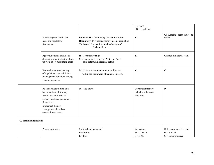|                               |                                                                                                                                                                                                                |                                                                                                                                                                                          | $L = LAN$<br>$LG = Local Gov$                                 |                                                                            |
|-------------------------------|----------------------------------------------------------------------------------------------------------------------------------------------------------------------------------------------------------------|------------------------------------------------------------------------------------------------------------------------------------------------------------------------------------------|---------------------------------------------------------------|----------------------------------------------------------------------------|
|                               | Prioritize goals within the<br>legal and regulatory<br>framework                                                                                                                                               | <b>Political:</b> $H =$ Community demand for reform<br><b>Regulatory:</b> $M =$ inconsistency in some regulation<br><b>Technical:</b> $L =$ inability to absorb views of<br>Stakeholders | all                                                           | C: Leading actor must be<br>define                                         |
|                               | Apply functional analysis to<br>determine what institutional set-<br>up would best meet these goals                                                                                                            | H - Technically High<br>M - Constrained on sectoral interests (such<br>as in determining leading actor)                                                                                  | all                                                           | C: Inter-ministerial team                                                  |
|                               | Rationalize current sharing<br>of regulatory responsibilities<br>/management functions among<br>Existing agencies                                                                                              | M: Have to accommodate sectoral interests<br>within the framework of national interest.                                                                                                  | all                                                           | $\mathbf C$                                                                |
|                               | Re the above: political and<br>bureaucratic realities may<br>lead to partial reform of<br>certain functions: personnel,<br>finance, etc<br>Implement the new<br>arrangements based on<br>coherent legal texts. | M - See above                                                                                                                                                                            | <b>Core stakeholders</b><br>(which similar core<br>function). | $\mathbf{P}$                                                               |
| <b>C.</b> Technical functions |                                                                                                                                                                                                                |                                                                                                                                                                                          |                                                               |                                                                            |
|                               | Possible priorities                                                                                                                                                                                            | (political and technical)<br>Feasibility:<br>$L = low$                                                                                                                                   | Key actors:<br>$M = Mepan$<br>$B = BKN$                       | Reform options: $P = pilot$<br>$G = \text{gradual}$<br>$C =$ comprehensive |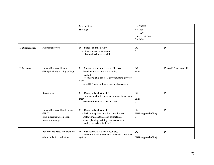|                 |                                                                                            | $M = \text{medium}$<br>$H = high$                                                                                                                                                                         | $H = MOHA$<br>$F = MoF$<br>$L = LAN$<br>$LG = Local Gov$<br>$O = Other$ |                        |
|-----------------|--------------------------------------------------------------------------------------------|-----------------------------------------------------------------------------------------------------------------------------------------------------------------------------------------------------------|-------------------------------------------------------------------------|------------------------|
| 1. Organization | Functional review                                                                          | M: - Functional inflexibility<br>- Limited space to maneuver<br>- Limited technical capability                                                                                                            | LG<br>$\mathbf 0$                                                       | ${\bf P}$              |
| 2. Personnel    | Human Resource Planning<br>(HRP) (incl. right-sizing policy)                               | M: - Menpan has no tool to assess "formasi"<br>based on human resource planning<br>method<br>- Room available for local government to develop<br>their<br>own HRP but insufficient technical capability   | LG<br><b>BKN</b><br>$\Omega$                                            | P: need TA develop HRP |
|                 | Recruitment                                                                                | M: - Closely related with HRP<br>- Room available for local government to develop<br>their<br>own recruitment incl. the tool need                                                                         | LG<br><b>BKN</b><br>$\bf{0}$                                            | P                      |
|                 | Human Resource Development<br>(HRD)<br>(incl. placement, promotion,<br>transfer, training) | M: - Closely related with HRP<br>- Basic prerequisite (position classification,<br>staff appraisal, standard of competence,<br>career planning, training need assessment<br>model) has to be established. | LG<br><b>BKN</b> (regional office)<br>$\mathbf 0$                       | ${\bf P}$              |
|                 | Performance based remuneration<br>(through the job evaluation                              | M: - Basic salary is nationally regulated<br>- Room for local government to develop incentive<br>system                                                                                                   | LG<br><b>BKN</b> (regional office)                                      | P                      |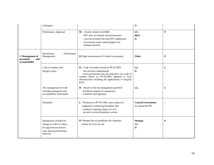|                                                        | technique)                                                                                                               |                                                                                                                                                                                                                                                   | $\mathbf 0$                                    |                |
|--------------------------------------------------------|--------------------------------------------------------------------------------------------------------------------------|---------------------------------------------------------------------------------------------------------------------------------------------------------------------------------------------------------------------------------------------------|------------------------------------------------|----------------|
|                                                        | Performance Appraisal                                                                                                    | M: - Closely related with HRD<br>- DP3 does not related with performance<br>- local government develop DP3 supplement<br>- Assessment center method applies for<br>strategic position.                                                            | LG<br><b>BKN</b><br>$\mathbf{0}$               | $\bf P$        |
| 3. Management of<br>personnel<br>and<br>accountability | Introducing<br>Performance<br>Management                                                                                 | H: High commitment of Central Government                                                                                                                                                                                                          | Other                                          | P              |
|                                                        | Code of conduct and<br>Integrity pacts                                                                                   | $H$ : - Code of conduct based on PP.42/2004<br>has not been implemented<br>- local government may develop their own code of<br>conduct based on PP.42/2004 adjusted to local<br>characteristics including the applications of integrity<br>pacts. | LG<br>$\mathbf{0}$                             | $\mathbf C$    |
|                                                        | The management of work<br>including delegation and<br>accountability instruments                                         | H: - Based on the top management goodwill<br>- Establish standard of competence<br>- Establish staff appraisal                                                                                                                                    | LG                                             | $\mathbf C$    |
|                                                        | Discipline                                                                                                               | L: Weakness in PP 30/1980, cause subjective<br>judgment in enforcing discipline, that<br>resulted in opening chance of civil<br>servant to avoid disciplinary action.                                                                             | <b>Central Government</b><br>(to amend the PP) | $\overline{a}$ |
|                                                        | Introduction of behavior<br>change in order to reduce<br>the gap between formal<br>rules and actual/informal<br>behavior | H: Menpan has set guidelines the corporate<br>culture for civil servant                                                                                                                                                                           | Menpan<br>LG<br>$\mathbf{0}$                   | P              |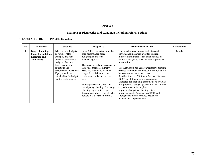### **Example of Diagnostics and Roadmap including reform options**

#### **1. KABUPATEN SOLOK - FINANCE- Expenditure**

| N <sub>0</sub> | <b>Functions</b>           | <b>Ouestions</b>         | <b>Responses</b>                   | <b>Problem Identification</b>                   | <b>Stakeholder</b> |
|----------------|----------------------------|--------------------------|------------------------------------|-------------------------------------------------|--------------------|
| ı.             | <b>Budget Planning,</b>    | What types of budgets    | Since 2003, Kabupaten Solok has    | The links between program/activities and        | CG & LG            |
|                | <b>Policy Formulation,</b> | do you use? (for         | used performance-based             | performance indicators are often unclear.       |                    |
|                | <b>Execution and</b>       | example, line item       | budgeting in line with             | Indirect expenditures (such as for salaries of  |                    |
|                | <b>Monitoring</b>          | budgets, performance     | Kepmendagri 29/02.                 | civil servants (PNS) have not been apportioned  |                    |
|                |                            | budgets). Are they       |                                    | to activities.                                  |                    |
|                |                            | linked to program        | They recognize the weaknesses in   |                                                 |                    |
|                |                            | objectives and           | the actual practices. In many      | The Kabupaten has used participatory planning   |                    |
|                |                            | performance indicators?  | cases, the relation between the    | process to improve the budget allocation and to |                    |
|                |                            | If yes, how do you       | budget for activities and the      | be more responsive to local needs.              |                    |
|                |                            | actually link the budget | performance indicators are not     | Specifications of Minimum Service Standards     |                    |
|                |                            | and the performance?     | clear.                             | (SPM) for all functions are incomplete.         |                    |
|                |                            |                          |                                    | Standards for spending assessments to evaluate  |                    |
|                |                            |                          | Budget preparation starts with     | the proposed budget (especially for indirect    |                    |
|                |                            |                          | participatory planning. The budget | expenditures) are incomplete.                   |                    |
|                |                            |                          | planning begins with Nagari        | Improving budgetary planning entails            |                    |
|                |                            |                          | discussions (which bring all stake | improvements to Kepmendagri 29/02, and          |                    |
|                |                            |                          |                                    |                                                 |                    |
|                |                            |                          | holders to a discussion forum).    | strengthened human resource capacity in         |                    |
|                |                            |                          |                                    | planning and implementation.                    |                    |
|                |                            |                          |                                    |                                                 |                    |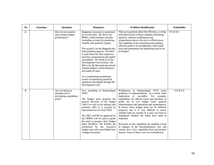| No | <b>Functions</b> | <b>Questions</b>                                                        | <b>Responses</b>                                                                                                                                                                                                                                                                                                                                                                                                                                                                                                                                                                                                                               | <b>Problem Identification</b>                                                                                                                                                                                                                                                                                                                                                                                                                                                                                                                                                                                                                                                                          | <b>Stakeholder</b> |
|----|------------------|-------------------------------------------------------------------------|------------------------------------------------------------------------------------------------------------------------------------------------------------------------------------------------------------------------------------------------------------------------------------------------------------------------------------------------------------------------------------------------------------------------------------------------------------------------------------------------------------------------------------------------------------------------------------------------------------------------------------------------|--------------------------------------------------------------------------------------------------------------------------------------------------------------------------------------------------------------------------------------------------------------------------------------------------------------------------------------------------------------------------------------------------------------------------------------------------------------------------------------------------------------------------------------------------------------------------------------------------------------------------------------------------------------------------------------------------------|--------------------|
| 2. |                  | How do you monitor<br>and evaluate budget<br>performance?               | Budgetary execution is monitored<br>by several units. The first is by<br>BPKD, which monitors all units<br>(including revenue) by producing<br>monthly and quarterly reports.<br>The second is by the Bappeda (the<br>local planning agency). The third<br>is each Dinas for their respective<br>activities, procurement and capital<br>expenditure. The fourth is by the<br>Development Unit in Setda. The<br>fifth is by the Bawasda (provincial<br>internal auditor), which monitors<br>and audits all units.<br>As a coordinating mechanism,<br>results of monitoring should be<br>reported to the Bupati through the<br>Development Unit. | There are questions about the efficiency, overlap<br>and effectiveness of these multiple monitoring<br>agencies, whereas coordination and<br>comprehensiveness is the key to effectiveness.<br>The capability of the monitoring and auditing<br>officials needs to be strengthened, while better<br>tools and instruments for monitoring need to be<br>developed.                                                                                                                                                                                                                                                                                                                                      | CG & LG            |
| 3. |                  | Are you doing an<br>adequate job in<br>developing expenditure<br>plans? | Yes, according to Kepmendagri<br>29/02.<br>The budget team prepares the<br>general direction of the budget<br>(AKU) as well as the strategy and<br>priorities (SP). It is assisted by<br>representatives of a local NGO.<br>The AKU and SP (as approved by<br>the DPRD) will be used to guide<br>the units to propose their budget<br>plans (RASKs). The RASKs are<br>scrutinized by the executive<br>budget team and consolidated into<br>a budget document.                                                                                                                                                                                  | Weaknesses in Kepmendagri 29/02 cause<br>problems of implementation. As a result, some<br>duplication is inevitable. For example,<br>expenditure for official travel and purchase of<br>goods are in two budget items (general<br>administration and operations and maintenance).<br>In theory, these budget items are for different<br>purposes, but it is very difficult to assess<br>whether both are needed. It is also very hard to<br>distinguish whether the funds have used as<br>indicated.<br>Revisions to this regulation are pending owing<br>to changes in the Decentralization Law and<br>various new Laws regulating local government<br>finance. Some of these Laws are contradictory. | CG & LG            |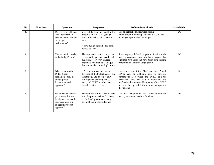| No               | <b>Functions</b> | <b>Ouestions</b>                                                                                                            | <b>Responses</b>                                                                                                                                                                                   | <b>Problem Identification</b>                                                                                                                                                                                                                                                                    | <b>Stakeholder</b> |
|------------------|------------------|-----------------------------------------------------------------------------------------------------------------------------|----------------------------------------------------------------------------------------------------------------------------------------------------------------------------------------------------|--------------------------------------------------------------------------------------------------------------------------------------------------------------------------------------------------------------------------------------------------------------------------------------------------|--------------------|
| $\overline{4}$ . |                  | Do you have sufficient<br>time to prepare, to<br>execute and to monitor<br>the budget<br>performance?                       | Yes, but the time provided for the<br>preparation of RASKs (budget<br>plans of working units) was too<br>short.<br>A new budget schedule has been<br>agreed by DPRD.                               | The budget schedule requires strong<br>commitment. If one step is delayed, it can lead<br>to delayed approval of the budget.                                                                                                                                                                     | LG                 |
| 5.               |                  | Can you avoid overlap<br>in the budget? How?                                                                                | The duplication in the budget can<br>be limited by performance-based<br>budgeting. However, unclear<br>organizational mandates and job<br>description also cause duplication.                      | Some vaguely defined programs of units in the<br>local government cause duplicate targets. For<br>example, two units can have their own training<br>programs for the same target group.                                                                                                          | LG                 |
| 6.               |                  | What role does the<br>DPRD (local<br>parliament) play in<br>budget policy<br>formulation and<br>approval?                   | DPRD scrutinizes the general<br>direction of the budget (AKU) and<br>the strategy and priorities (SP).<br>Participatory planning is also<br>used, and DPRD members are<br>included in the process. | Discussions about the AKU and the SP with<br>DPRD can be difficult, due to different<br>perceptions as between the DPRD and the<br>Executive. This can lead to inefficient and<br>ineffective discussions. The quality of the DPRD<br>needs to be upgraded through workshops and<br>discussions. | LG                 |
| 7.               |                  | How does the central<br>government inform<br>local governments that<br>their programs and<br>budgets have been<br>approved? | The requirement for consultations<br>with the province (Law 32/2004)<br>on the local government budget<br>has not been implemented yet.                                                            | This has the potential for a conflict between<br>local governments and the Province.                                                                                                                                                                                                             | LG                 |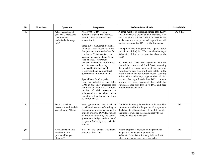| N <sub>0</sub> | <b>Functions</b> | <b>Questions</b>                                                                              | <b>Responses</b>                                                                                                                                                                                                                                                                                                                                                                                                                                                                                                                                                                                                                                                                                                                                                        | <b>Problem Identification</b>                                                                                                                                                                                                                                                                                                                                                                                                                                                                                                                                                                                                                                                                                                                                                                                                                                                               | <b>Stakeholder</b> |
|----------------|------------------|-----------------------------------------------------------------------------------------------|-------------------------------------------------------------------------------------------------------------------------------------------------------------------------------------------------------------------------------------------------------------------------------------------------------------------------------------------------------------------------------------------------------------------------------------------------------------------------------------------------------------------------------------------------------------------------------------------------------------------------------------------------------------------------------------------------------------------------------------------------------------------------|---------------------------------------------------------------------------------------------------------------------------------------------------------------------------------------------------------------------------------------------------------------------------------------------------------------------------------------------------------------------------------------------------------------------------------------------------------------------------------------------------------------------------------------------------------------------------------------------------------------------------------------------------------------------------------------------------------------------------------------------------------------------------------------------------------------------------------------------------------------------------------------------|--------------------|
| 8.             |                  | What percentage of<br>your DAU represents<br>cost transfers<br>exclusively for wage<br>bills? | About 92% of DAU is for<br>personnel expenditure (salaries,<br>benefits, local incentives, and<br>honorarium).<br>Since 2004, Kabupaten Solok has<br>followed a local incentive system<br>that provides additional salary for<br>employees. This incentive is an<br>average increase of about 12% in<br>PNS salaries. This system<br>replaced the honorarium for every<br>activity as currently being<br>practiced by the Provincial<br>Government and by other local<br>governments in West Sumatra.<br>Special Note for Comparison:<br>Data for calculating the 2005<br>DAU in the MOF indicates that<br>the ratio of total DAU to total<br>salaries of civil servants in<br>kabupaten/kota is about 63%<br>(about 50 trillion for salaries from<br>80 trillion DAU). | A large number of personnel (more than 5,000)<br>and an expansive organizational structure, have<br>absorbed almost all the DAU. It is possible that<br>in the coming year, personnel expenditure will<br>exceed the amount of DAU for the Kabupaten.<br>The split of this Kabupaten into 2 parts (Solok<br>and South Solok) in 2004 has disadvantaged<br>Kabupaten Solok in its transfers through the<br>DAU.<br>In 2004, the DAU was negotiated with the<br>Central Government and South Solok, assuming<br>that a relatively large number of civil servants<br>would move from Solok to South Solok. In the<br>event, a much smaller number moved, saddling<br>Solok with a relatively large number of civil<br>servants, but significantly less DAU. A new<br>formula has been negotiated, but Solok has<br>suffered a once-only loss in its DAU and been<br>left with redundant staff. | CG & LG            |
| 9.             |                  | Do you consider<br>deconcentrated funds in<br>your planning? How?                             | local government has tried to<br>consider all sources of funding in<br>the planning process by asking the<br>units to bring the DIPA (document<br>of program funded by the central<br>government budget) and the list of<br>programs funded by the provincial<br>budget.                                                                                                                                                                                                                                                                                                                                                                                                                                                                                                | The DIPA is usually late and unpredictable. The<br>situation is similar for the provincial programs in<br>the kabupaten. Duplication is difficult to avoid.<br>Central programs are informed directly to the<br>Dinas, by-passing the Bupati.                                                                                                                                                                                                                                                                                                                                                                                                                                                                                                                                                                                                                                               | LG                 |
| 10.            |                  | Are Kabupaten/Kota<br>involved in the<br>provincial budget<br>planning?                       | Yes, in the annual<br>Provincial<br>planning discussions.                                                                                                                                                                                                                                                                                                                                                                                                                                                                                                                                                                                                                                                                                                               | After a program is included in the provincial<br>budget and the budget approved, the<br>Kabupaten/Kota is not formally informed as to<br>what projects/programs are going to be                                                                                                                                                                                                                                                                                                                                                                                                                                                                                                                                                                                                                                                                                                             | LG                 |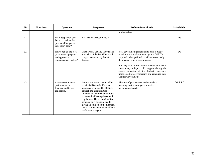| No. | <b>Functions</b> | <b>Ouestions</b>                                                                        | <b>Responses</b>                                                                                                                                                                                                                                                                                                                                                                        | <b>Problem Identification</b>                                                                                                                                                                                                                                                                                                                                                                                   | <b>Stakeholder</b> |
|-----|------------------|-----------------------------------------------------------------------------------------|-----------------------------------------------------------------------------------------------------------------------------------------------------------------------------------------------------------------------------------------------------------------------------------------------------------------------------------------------------------------------------------------|-----------------------------------------------------------------------------------------------------------------------------------------------------------------------------------------------------------------------------------------------------------------------------------------------------------------------------------------------------------------------------------------------------------------|--------------------|
|     |                  |                                                                                         |                                                                                                                                                                                                                                                                                                                                                                                         | implemented.                                                                                                                                                                                                                                                                                                                                                                                                    |                    |
| 11. |                  | For Kabupaten/Kota:<br>Do you consider the<br>provincial budget in<br>your plan? How?   | Yes, see the answer in No 9.                                                                                                                                                                                                                                                                                                                                                            |                                                                                                                                                                                                                                                                                                                                                                                                                 | LG                 |
| 12. |                  | How often do the local<br>governments prepare<br>and approve a<br>supplementary budget? | Once a year. Usually there is also<br>a revision of the DASK (the unit<br>budget document) by Bupati<br>decree.                                                                                                                                                                                                                                                                         | local government prefers not to have a budget<br>revision since it takes time to get the DPRD's<br>approval. Also, political considerations usually<br>dominate in budget amendments.<br>It is very difficult not to have the budget revision<br>since many things could happen during the<br>second semester of the budget, especially<br>unexpected project/programs and revenues from<br>Central Government. | LG                 |
| 13. |                  | Are any compliance,<br>performance or<br>financial audits ever<br>conducted?            | Internal audits are conducted by<br>provincial Bawasda. External<br>audits are conducted by BPK. In<br>general, the audit practice<br>(internal and external auditors) is<br>concerned with compliance with<br>regulations. The external auditor<br>conducts only financial audits,<br>giving an opinion on the financial<br>report, not on compliance with the<br>performance targets. | Absence of performance audits renders<br>meaningless the local government's<br>performance targets.                                                                                                                                                                                                                                                                                                             | CG & LG            |